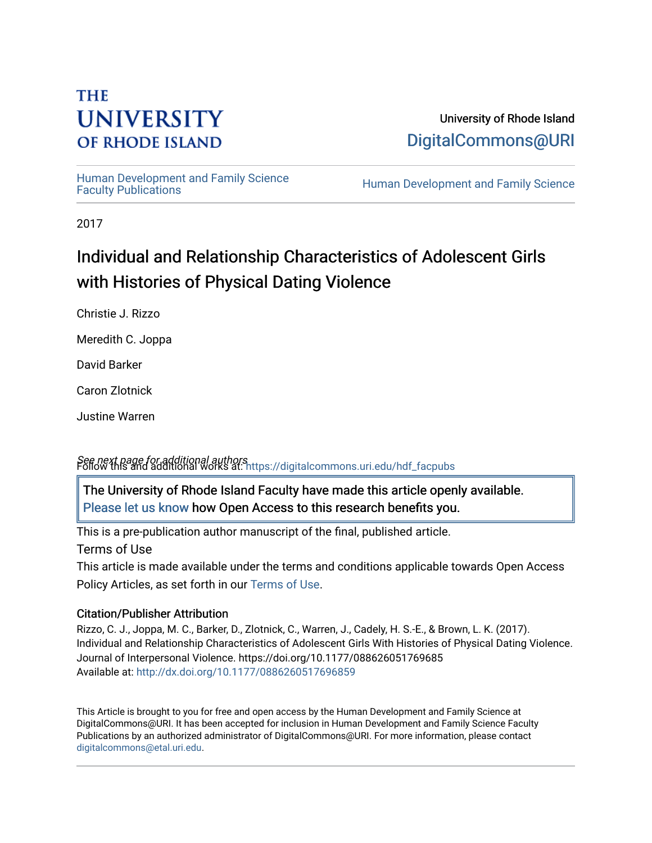# **THE UNIVERSITY OF RHODE ISLAND**

University of Rhode Island [DigitalCommons@URI](https://digitalcommons.uri.edu/) 

Human Development and Family Science<br>Faculty Publications

Human Development and Family Science

2017

# Individual and Relationship Characteristics of Adolescent Girls with Histories of Physical Dating Violence

Christie J. Rizzo

Meredith C. Joppa

David Barker

Caron Zlotnick

Justine Warren

See next page for additional authors Follow this and additional works at: [https://digitalcommons.uri.edu/hdf\\_facpubs](https://digitalcommons.uri.edu/hdf_facpubs?utm_source=digitalcommons.uri.edu%2Fhdf_facpubs%2F32&utm_medium=PDF&utm_campaign=PDFCoverPages) 

The University of Rhode Island Faculty have made this article openly available. [Please let us know](http://web.uri.edu/library-digital-initiatives/open-access-online-form/) how Open Access to this research benefits you.

This is a pre-publication author manuscript of the final, published article.

Terms of Use

This article is made available under the terms and conditions applicable towards Open Access Policy Articles, as set forth in our [Terms of Use](https://digitalcommons.uri.edu/hdf_facpubs/oa_policy_terms.html).

## Citation/Publisher Attribution

Rizzo, C. J., Joppa, M. C., Barker, D., Zlotnick, C., Warren, J., Cadely, H. S.-E., & Brown, L. K. (2017). Individual and Relationship Characteristics of Adolescent Girls With Histories of Physical Dating Violence. Journal of Interpersonal Violence. https://doi.org/10.1177/088626051769685 Available at:<http://dx.doi.org/10.1177/0886260517696859>

This Article is brought to you for free and open access by the Human Development and Family Science at DigitalCommons@URI. It has been accepted for inclusion in Human Development and Family Science Faculty Publications by an authorized administrator of DigitalCommons@URI. For more information, please contact [digitalcommons@etal.uri.edu](mailto:digitalcommons@etal.uri.edu).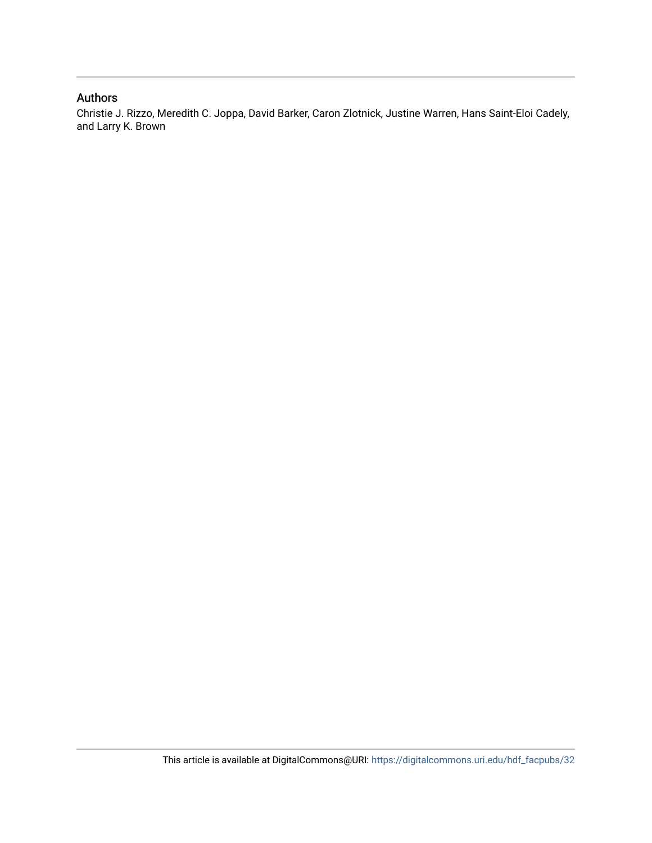#### Authors

Christie J. Rizzo, Meredith C. Joppa, David Barker, Caron Zlotnick, Justine Warren, Hans Saint-Eloi Cadely, and Larry K. Brown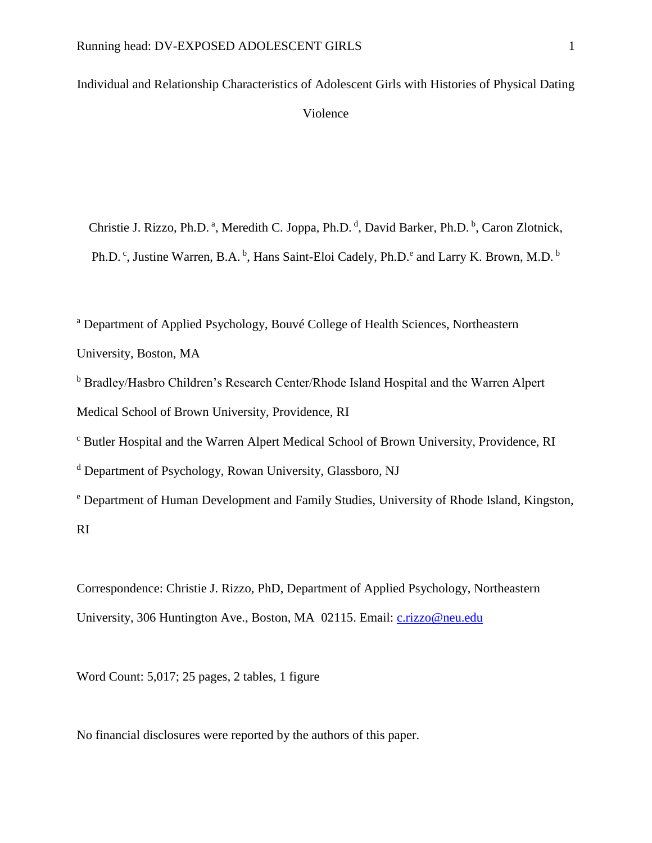Individual and Relationship Characteristics of Adolescent Girls with Histories of Physical Dating Violence

Christie J. Rizzo, Ph.D.<sup>a</sup>, Meredith C. Joppa, Ph.D.<sup>d</sup>, David Barker, Ph.D.<sup>b</sup>, Caron Zlotnick, Ph.D.<sup>c</sup>, Justine Warren, B.A.<sup>b</sup>, Hans Saint-Eloi Cadely, Ph.D.<sup>e</sup> and Larry K. Brown, M.D.<sup>b</sup>

<sup>a</sup> Department of Applied Psychology, Bouvé College of Health Sciences, Northeastern University, Boston, MA

<sup>b</sup> Bradley/Hasbro Children's Research Center/Rhode Island Hospital and the Warren Alpert Medical School of Brown University, Providence, RI

<sup>c</sup> Butler Hospital and the Warren Alpert Medical School of Brown University, Providence, RI

<sup>d</sup> Department of Psychology, Rowan University, Glassboro, NJ

<sup>e</sup> Department of Human Development and Family Studies, University of Rhode Island, Kingston, RI

Correspondence: Christie J. Rizzo, PhD, Department of Applied Psychology, Northeastern University, 306 Huntington Ave., Boston, MA 02115. Email: [c.rizzo@neu.edu](mailto:c.rizzo@neu.edu)

Word Count: 5,017; 25 pages, 2 tables, 1 figure

No financial disclosures were reported by the authors of this paper.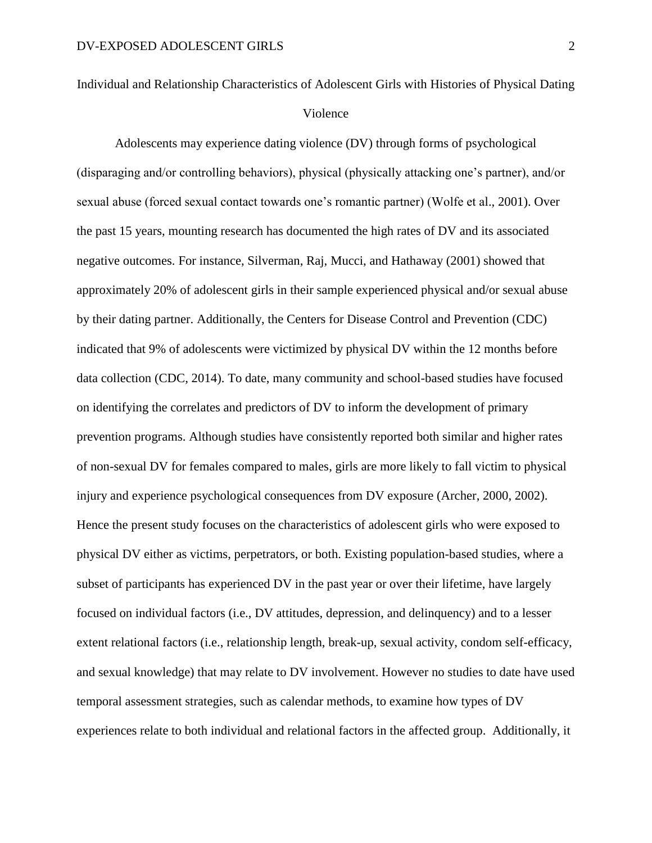Individual and Relationship Characteristics of Adolescent Girls with Histories of Physical Dating Violence

Adolescents may experience dating violence (DV) through forms of psychological (disparaging and/or controlling behaviors), physical (physically attacking one's partner), and/or sexual abuse (forced sexual contact towards one's romantic partner) (Wolfe et al., 2001). Over the past 15 years, mounting research has documented the high rates of DV and its associated negative outcomes. For instance, Silverman, Raj, Mucci, and Hathaway (2001) showed that approximately 20% of adolescent girls in their sample experienced physical and/or sexual abuse by their dating partner. Additionally, the Centers for Disease Control and Prevention (CDC) indicated that 9% of adolescents were victimized by physical DV within the 12 months before data collection (CDC, 2014). To date, many community and school-based studies have focused on identifying the correlates and predictors of DV to inform the development of primary prevention programs. Although studies have consistently reported both similar and higher rates of non-sexual DV for females compared to males, girls are more likely to fall victim to physical injury and experience psychological consequences from DV exposure (Archer, 2000, 2002). Hence the present study focuses on the characteristics of adolescent girls who were exposed to physical DV either as victims, perpetrators, or both. Existing population-based studies, where a subset of participants has experienced DV in the past year or over their lifetime, have largely focused on individual factors (i.e., DV attitudes, depression, and delinquency) and to a lesser extent relational factors (i.e., relationship length, break-up, sexual activity, condom self-efficacy, and sexual knowledge) that may relate to DV involvement. However no studies to date have used temporal assessment strategies, such as calendar methods, to examine how types of DV experiences relate to both individual and relational factors in the affected group. Additionally, it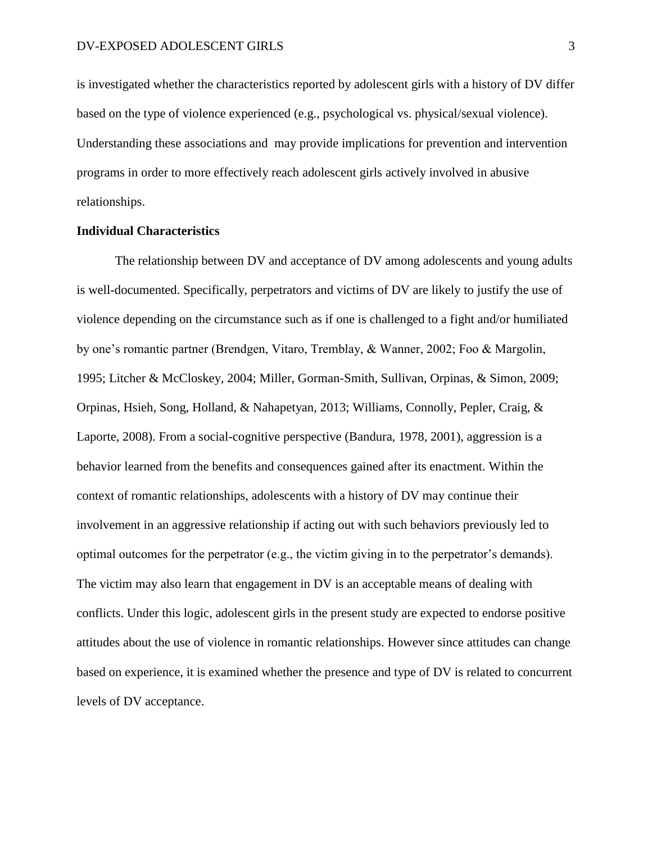is investigated whether the characteristics reported by adolescent girls with a history of DV differ based on the type of violence experienced (e.g., psychological vs. physical/sexual violence). Understanding these associations and may provide implications for prevention and intervention programs in order to more effectively reach adolescent girls actively involved in abusive relationships.

#### **Individual Characteristics**

The relationship between DV and acceptance of DV among adolescents and young adults is well-documented. Specifically, perpetrators and victims of DV are likely to justify the use of violence depending on the circumstance such as if one is challenged to a fight and/or humiliated by one's romantic partner (Brendgen, Vitaro, Tremblay, & Wanner, 2002; Foo & Margolin, 1995; Litcher & McCloskey, 2004; Miller, Gorman-Smith, Sullivan, Orpinas, & Simon, 2009; Orpinas, Hsieh, Song, Holland, & Nahapetyan, 2013; Williams, Connolly, Pepler, Craig, & Laporte, 2008). From a social-cognitive perspective (Bandura, 1978, 2001), aggression is a behavior learned from the benefits and consequences gained after its enactment. Within the context of romantic relationships, adolescents with a history of DV may continue their involvement in an aggressive relationship if acting out with such behaviors previously led to optimal outcomes for the perpetrator (e.g., the victim giving in to the perpetrator's demands). The victim may also learn that engagement in DV is an acceptable means of dealing with conflicts. Under this logic, adolescent girls in the present study are expected to endorse positive attitudes about the use of violence in romantic relationships. However since attitudes can change based on experience, it is examined whether the presence and type of DV is related to concurrent levels of DV acceptance.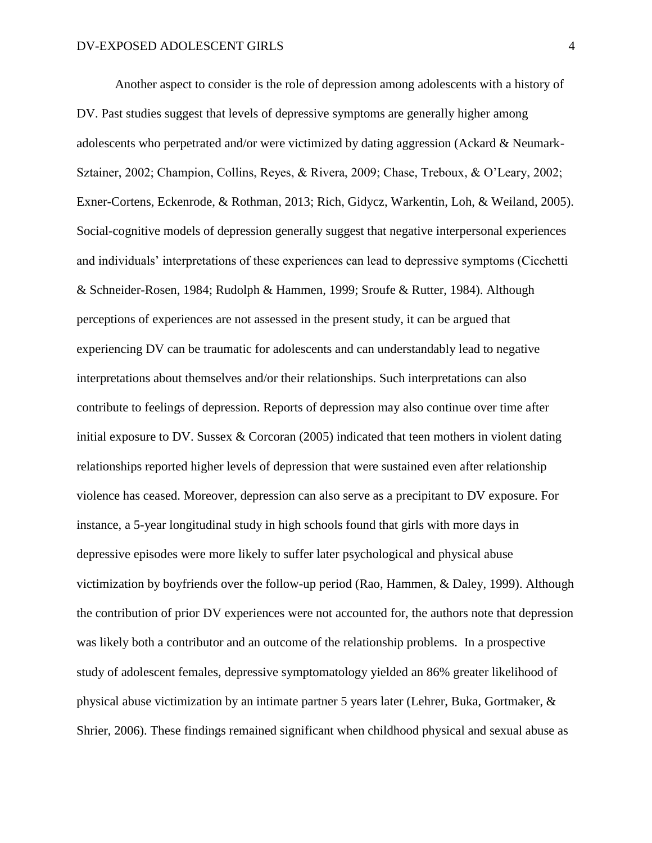Another aspect to consider is the role of depression among adolescents with a history of DV. Past studies suggest that levels of depressive symptoms are generally higher among adolescents who perpetrated and/or were victimized by dating aggression (Ackard & Neumark-Sztainer, 2002; Champion, Collins, Reyes, & Rivera, 2009; Chase, Treboux, & O'Leary, 2002; Exner-Cortens, Eckenrode, & Rothman, 2013; Rich, Gidycz, Warkentin, Loh, & Weiland, 2005). Social-cognitive models of depression generally suggest that negative interpersonal experiences and individuals' interpretations of these experiences can lead to depressive symptoms (Cicchetti & Schneider-Rosen, 1984; Rudolph & Hammen, 1999; Sroufe & Rutter, 1984). Although perceptions of experiences are not assessed in the present study, it can be argued that experiencing DV can be traumatic for adolescents and can understandably lead to negative interpretations about themselves and/or their relationships. Such interpretations can also contribute to feelings of depression. Reports of depression may also continue over time after initial exposure to DV. Sussex & Corcoran (2005) indicated that teen mothers in violent dating relationships reported higher levels of depression that were sustained even after relationship violence has ceased. Moreover, depression can also serve as a precipitant to DV exposure. For instance, a 5-year longitudinal study in high schools found that girls with more days in depressive episodes were more likely to suffer later psychological and physical abuse victimization by boyfriends over the follow-up period (Rao, Hammen, & Daley, 1999). Although the contribution of prior DV experiences were not accounted for, the authors note that depression was likely both a contributor and an outcome of the relationship problems. In a prospective study of adolescent females, depressive symptomatology yielded an 86% greater likelihood of physical abuse victimization by an intimate partner 5 years later (Lehrer, Buka, Gortmaker, & Shrier, 2006). These findings remained significant when childhood physical and sexual abuse as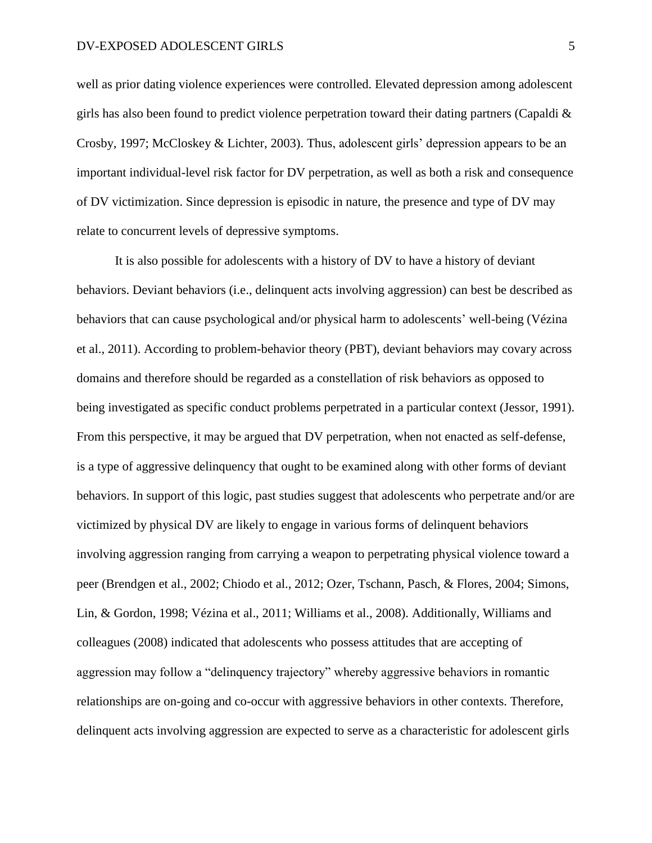well as prior dating violence experiences were controlled. Elevated depression among adolescent girls has also been found to predict violence perpetration toward their dating partners (Capaldi  $\&$ Crosby, 1997; McCloskey & Lichter, 2003). Thus, adolescent girls' depression appears to be an important individual-level risk factor for DV perpetration, as well as both a risk and consequence of DV victimization. Since depression is episodic in nature, the presence and type of DV may relate to concurrent levels of depressive symptoms.

It is also possible for adolescents with a history of DV to have a history of deviant behaviors. Deviant behaviors (i.e., delinquent acts involving aggression) can best be described as behaviors that can cause psychological and/or physical harm to adolescents' well-being (Vézina et al., 2011). According to problem-behavior theory (PBT), deviant behaviors may covary across domains and therefore should be regarded as a constellation of risk behaviors as opposed to being investigated as specific conduct problems perpetrated in a particular context (Jessor, 1991). From this perspective, it may be argued that DV perpetration, when not enacted as self-defense, is a type of aggressive delinquency that ought to be examined along with other forms of deviant behaviors. In support of this logic, past studies suggest that adolescents who perpetrate and/or are victimized by physical DV are likely to engage in various forms of delinquent behaviors involving aggression ranging from carrying a weapon to perpetrating physical violence toward a peer (Brendgen et al., 2002; Chiodo et al., 2012; Ozer, Tschann, Pasch, & Flores, 2004; Simons, Lin, & Gordon, 1998; Vézina et al., 2011; Williams et al., 2008). Additionally, Williams and colleagues (2008) indicated that adolescents who possess attitudes that are accepting of aggression may follow a "delinquency trajectory" whereby aggressive behaviors in romantic relationships are on-going and co-occur with aggressive behaviors in other contexts. Therefore, delinquent acts involving aggression are expected to serve as a characteristic for adolescent girls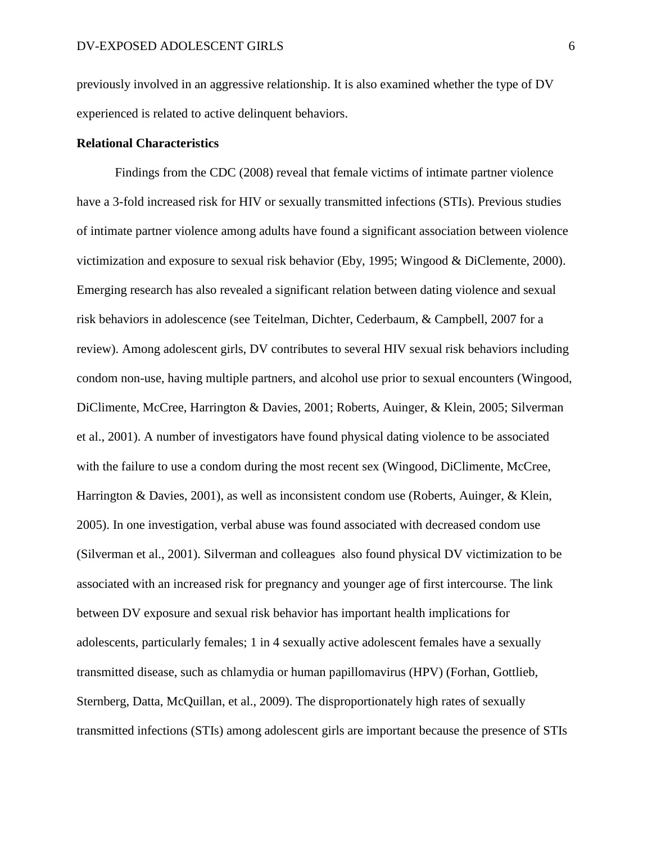previously involved in an aggressive relationship. It is also examined whether the type of DV experienced is related to active delinquent behaviors.

#### **Relational Characteristics**

Findings from the CDC (2008) reveal that female victims of intimate partner violence have a 3-fold increased risk for HIV or sexually transmitted infections (STIs). Previous studies of intimate partner violence among adults have found a significant association between violence victimization and exposure to sexual risk behavior (Eby, 1995; Wingood & DiClemente, 2000). Emerging research has also revealed a significant relation between dating violence and sexual risk behaviors in adolescence (see Teitelman, Dichter, Cederbaum, & Campbell, 2007 for a review). Among adolescent girls, DV contributes to several HIV sexual risk behaviors including condom non-use, having multiple partners, and alcohol use prior to sexual encounters (Wingood, DiClimente, McCree, Harrington & Davies, 2001; Roberts, Auinger, & Klein, 2005; Silverman et al., 2001). A number of investigators have found physical dating violence to be associated with the failure to use a condom during the most recent sex (Wingood, DiClimente, McCree, Harrington & Davies, 2001), as well as inconsistent condom use (Roberts, Auinger, & Klein, 2005). In one investigation, verbal abuse was found associated with decreased condom use (Silverman et al., 2001). Silverman and colleagues also found physical DV victimization to be associated with an increased risk for pregnancy and younger age of first intercourse. The link between DV exposure and sexual risk behavior has important health implications for adolescents, particularly females; 1 in 4 sexually active adolescent females have a sexually transmitted disease, such as chlamydia or human papillomavirus (HPV) (Forhan, Gottlieb, Sternberg, Datta, McQuillan, et al., 2009). The disproportionately high rates of sexually transmitted infections (STIs) among adolescent girls are important because the presence of STIs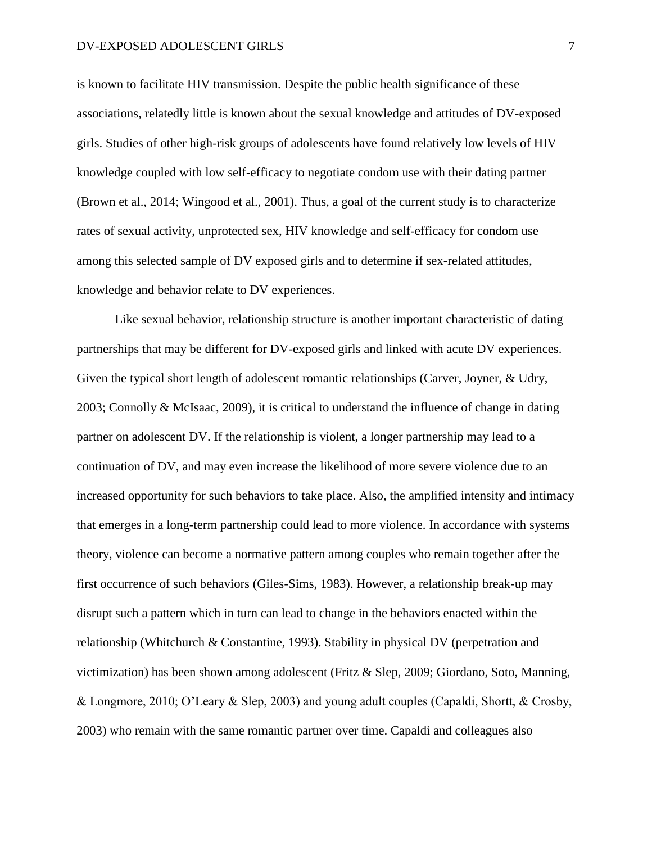is known to facilitate HIV transmission. Despite the public health significance of these associations, relatedly little is known about the sexual knowledge and attitudes of DV-exposed girls. Studies of other high-risk groups of adolescents have found relatively low levels of HIV knowledge coupled with low self-efficacy to negotiate condom use with their dating partner (Brown et al., 2014; Wingood et al., 2001). Thus, a goal of the current study is to characterize rates of sexual activity, unprotected sex, HIV knowledge and self-efficacy for condom use among this selected sample of DV exposed girls and to determine if sex-related attitudes, knowledge and behavior relate to DV experiences.

Like sexual behavior, relationship structure is another important characteristic of dating partnerships that may be different for DV-exposed girls and linked with acute DV experiences. Given the typical short length of adolescent romantic relationships (Carver, Joyner, & Udry, 2003; Connolly & McIsaac, 2009), it is critical to understand the influence of change in dating partner on adolescent DV. If the relationship is violent, a longer partnership may lead to a continuation of DV, and may even increase the likelihood of more severe violence due to an increased opportunity for such behaviors to take place. Also, the amplified intensity and intimacy that emerges in a long-term partnership could lead to more violence. In accordance with systems theory, violence can become a normative pattern among couples who remain together after the first occurrence of such behaviors (Giles-Sims, 1983). However, a relationship break-up may disrupt such a pattern which in turn can lead to change in the behaviors enacted within the relationship (Whitchurch & Constantine, 1993). Stability in physical DV (perpetration and victimization) has been shown among adolescent (Fritz & Slep, 2009; Giordano, Soto, Manning, & Longmore, 2010; O'Leary & Slep, 2003) and young adult couples (Capaldi, Shortt, & Crosby, 2003) who remain with the same romantic partner over time. Capaldi and colleagues also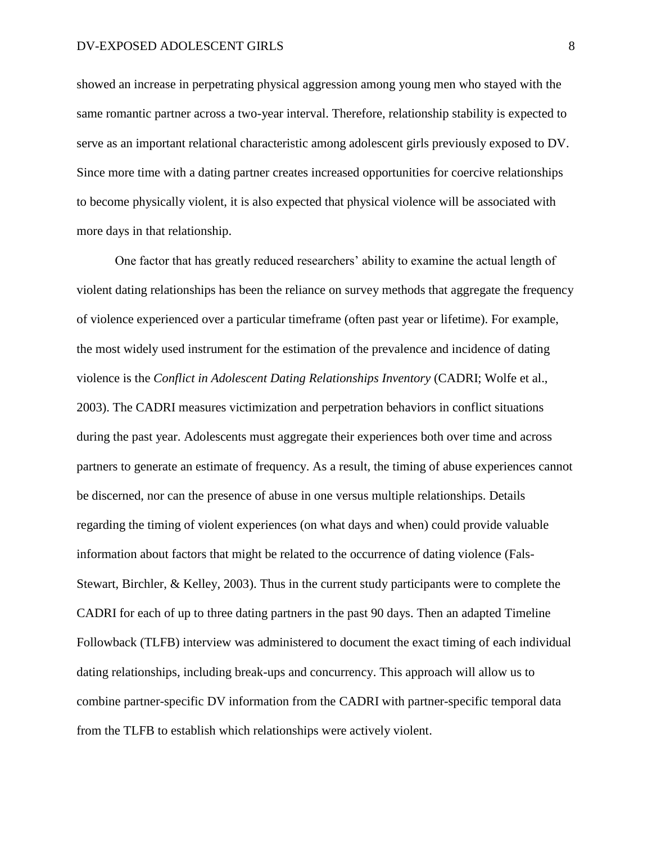showed an increase in perpetrating physical aggression among young men who stayed with the same romantic partner across a two-year interval. Therefore, relationship stability is expected to serve as an important relational characteristic among adolescent girls previously exposed to DV. Since more time with a dating partner creates increased opportunities for coercive relationships to become physically violent, it is also expected that physical violence will be associated with more days in that relationship.

One factor that has greatly reduced researchers' ability to examine the actual length of violent dating relationships has been the reliance on survey methods that aggregate the frequency of violence experienced over a particular timeframe (often past year or lifetime). For example, the most widely used instrument for the estimation of the prevalence and incidence of dating violence is the *Conflict in Adolescent Dating Relationships Inventory* (CADRI; Wolfe et al., 2003). The CADRI measures victimization and perpetration behaviors in conflict situations during the past year. Adolescents must aggregate their experiences both over time and across partners to generate an estimate of frequency. As a result, the timing of abuse experiences cannot be discerned, nor can the presence of abuse in one versus multiple relationships. Details regarding the timing of violent experiences (on what days and when) could provide valuable information about factors that might be related to the occurrence of dating violence (Fals-Stewart, Birchler, & Kelley, 2003). Thus in the current study participants were to complete the CADRI for each of up to three dating partners in the past 90 days. Then an adapted Timeline Followback (TLFB) interview was administered to document the exact timing of each individual dating relationships, including break-ups and concurrency. This approach will allow us to combine partner-specific DV information from the CADRI with partner-specific temporal data from the TLFB to establish which relationships were actively violent.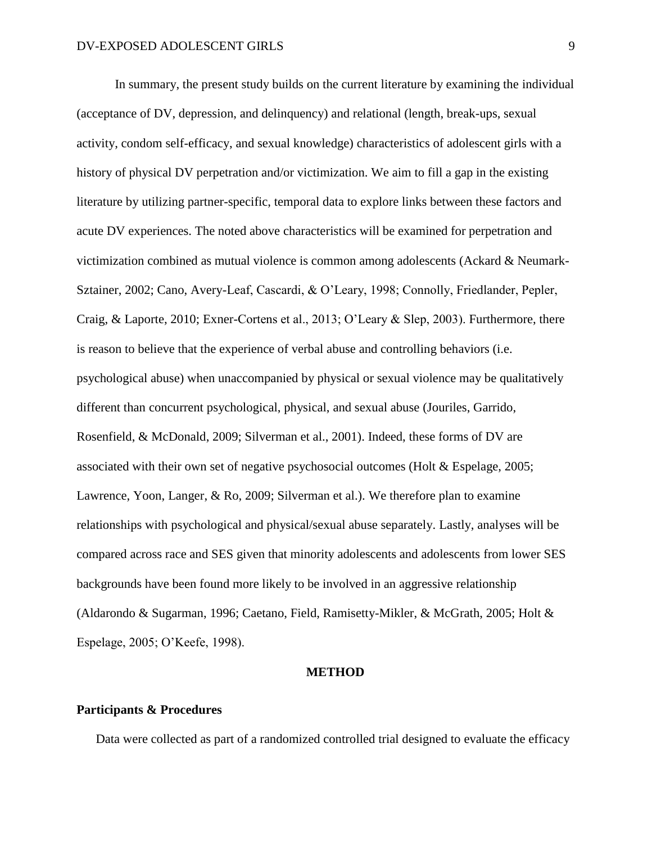In summary, the present study builds on the current literature by examining the individual (acceptance of DV, depression, and delinquency) and relational (length, break-ups, sexual activity, condom self-efficacy, and sexual knowledge) characteristics of adolescent girls with a history of physical DV perpetration and/or victimization. We aim to fill a gap in the existing literature by utilizing partner-specific, temporal data to explore links between these factors and acute DV experiences. The noted above characteristics will be examined for perpetration and victimization combined as mutual violence is common among adolescents (Ackard & Neumark-Sztainer, 2002; Cano, Avery-Leaf, Cascardi, & O'Leary, 1998; Connolly, Friedlander, Pepler, Craig, & Laporte, 2010; Exner-Cortens et al., 2013; O'Leary & Slep, 2003). Furthermore, there is reason to believe that the experience of verbal abuse and controlling behaviors (i.e. psychological abuse) when unaccompanied by physical or sexual violence may be qualitatively different than concurrent psychological, physical, and sexual abuse (Jouriles, Garrido, Rosenfield, & McDonald, 2009; Silverman et al., 2001). Indeed, these forms of DV are associated with their own set of negative psychosocial outcomes (Holt & Espelage, 2005; Lawrence, Yoon, Langer, & Ro, 2009; Silverman et al.). We therefore plan to examine relationships with psychological and physical/sexual abuse separately. Lastly, analyses will be compared across race and SES given that minority adolescents and adolescents from lower SES backgrounds have been found more likely to be involved in an aggressive relationship (Aldarondo & Sugarman, 1996; Caetano, Field, Ramisetty-Mikler, & McGrath, 2005; Holt & Espelage, 2005; O'Keefe, 1998).

#### **METHOD**

#### **Participants & Procedures**

Data were collected as part of a randomized controlled trial designed to evaluate the efficacy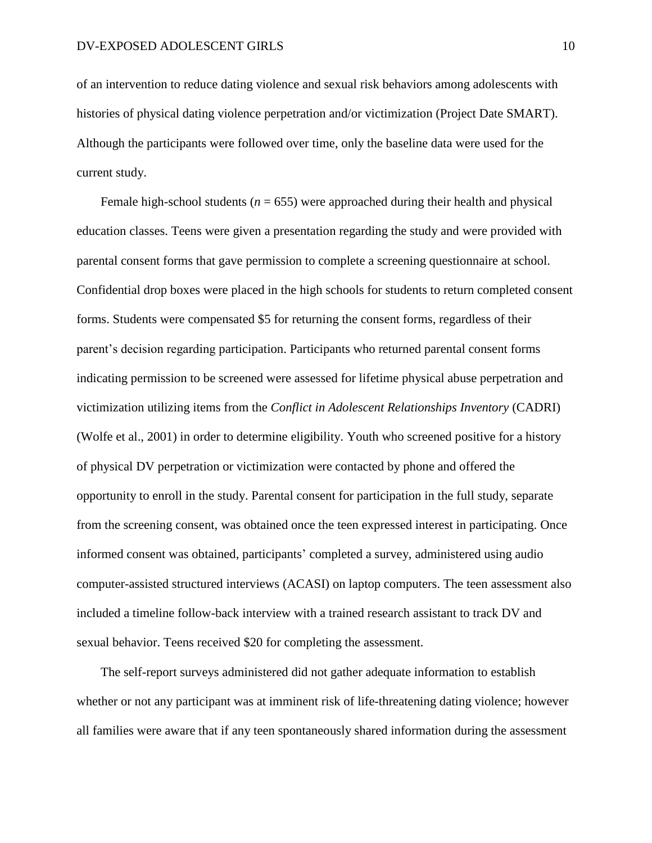of an intervention to reduce dating violence and sexual risk behaviors among adolescents with histories of physical dating violence perpetration and/or victimization (Project Date SMART). Although the participants were followed over time, only the baseline data were used for the current study.

Female high-school students ( $n = 655$ ) were approached during their health and physical education classes. Teens were given a presentation regarding the study and were provided with parental consent forms that gave permission to complete a screening questionnaire at school. Confidential drop boxes were placed in the high schools for students to return completed consent forms. Students were compensated \$5 for returning the consent forms, regardless of their parent's decision regarding participation. Participants who returned parental consent forms indicating permission to be screened were assessed for lifetime physical abuse perpetration and victimization utilizing items from the *Conflict in Adolescent Relationships Inventory* (CADRI) (Wolfe et al., 2001) in order to determine eligibility. Youth who screened positive for a history of physical DV perpetration or victimization were contacted by phone and offered the opportunity to enroll in the study. Parental consent for participation in the full study, separate from the screening consent, was obtained once the teen expressed interest in participating. Once informed consent was obtained, participants' completed a survey, administered using audio computer-assisted structured interviews (ACASI) on laptop computers. The teen assessment also included a timeline follow-back interview with a trained research assistant to track DV and sexual behavior. Teens received \$20 for completing the assessment.

The self-report surveys administered did not gather adequate information to establish whether or not any participant was at imminent risk of life-threatening dating violence; however all families were aware that if any teen spontaneously shared information during the assessment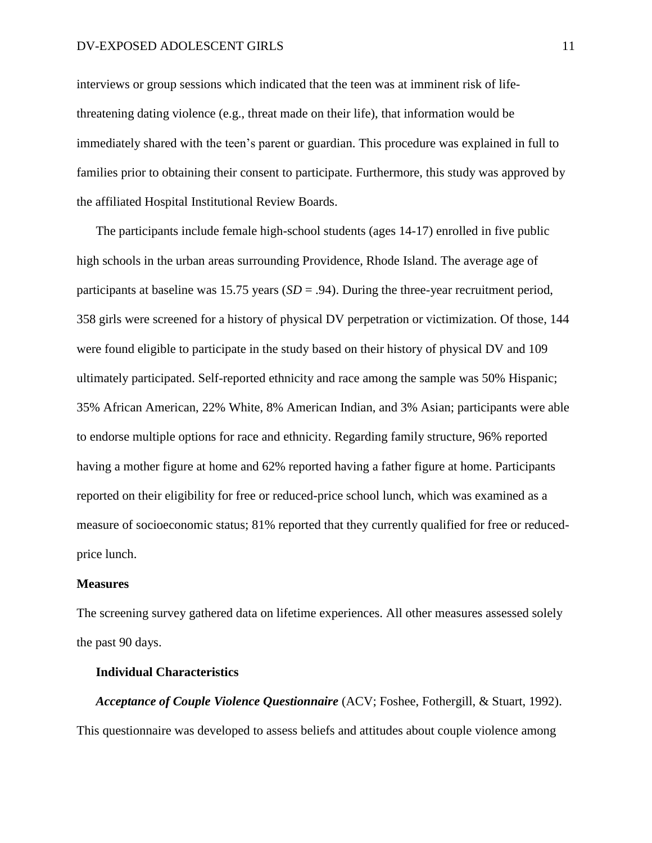interviews or group sessions which indicated that the teen was at imminent risk of lifethreatening dating violence (e.g., threat made on their life), that information would be immediately shared with the teen's parent or guardian. This procedure was explained in full to families prior to obtaining their consent to participate. Furthermore, this study was approved by the affiliated Hospital Institutional Review Boards.

The participants include female high-school students (ages 14-17) enrolled in five public high schools in the urban areas surrounding Providence, Rhode Island. The average age of participants at baseline was 15.75 years (*SD* = .94). During the three-year recruitment period, 358 girls were screened for a history of physical DV perpetration or victimization. Of those, 144 were found eligible to participate in the study based on their history of physical DV and 109 ultimately participated. Self-reported ethnicity and race among the sample was 50% Hispanic; 35% African American, 22% White, 8% American Indian, and 3% Asian; participants were able to endorse multiple options for race and ethnicity. Regarding family structure, 96% reported having a mother figure at home and 62% reported having a father figure at home. Participants reported on their eligibility for free or reduced-price school lunch, which was examined as a measure of socioeconomic status; 81% reported that they currently qualified for free or reducedprice lunch.

#### **Measures**

The screening survey gathered data on lifetime experiences. All other measures assessed solely the past 90 days.

#### **Individual Characteristics**

*Acceptance of Couple Violence Questionnaire* (ACV; Foshee, Fothergill, & Stuart, 1992). This questionnaire was developed to assess beliefs and attitudes about couple violence among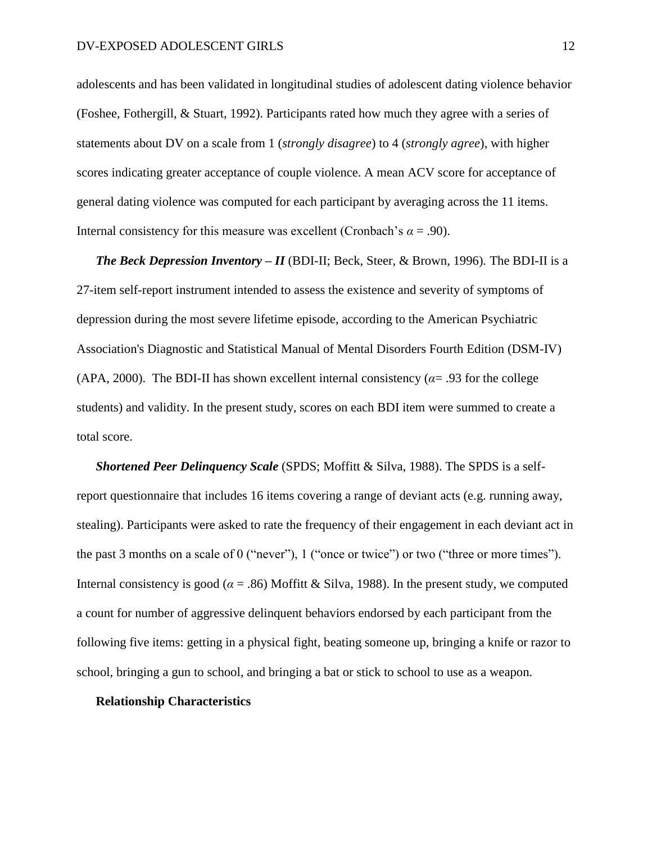adolescents and has been validated in longitudinal studies of adolescent dating violence behavior (Foshee, Fothergill, & Stuart, 1992). Participants rated how much they agree with a series of statements about DV on a scale from 1 (*strongly disagree*) to 4 (*strongly agree*), with higher scores indicating greater acceptance of couple violence. A mean ACV score for acceptance of general dating violence was computed for each participant by averaging across the 11 items. Internal consistency for this measure was excellent (Cronbach's  $\alpha = .90$ ).

*The Beck Depression Inventory – II* (BDI-II; Beck, Steer, & Brown, 1996)*.* The BDI-II is a 27-item self-report instrument intended to assess the existence and severity of symptoms of depression during the most severe lifetime episode, according to the American Psychiatric Association's Diagnostic and Statistical Manual of Mental Disorders Fourth Edition (DSM-IV) (APA, 2000). The BDI-II has shown excellent internal consistency ( $\alpha$ = .93 for the college students) and validity. In the present study, scores on each BDI item were summed to create a total score.

*Shortened Peer Delinquency Scale* (SPDS; Moffitt & Silva, 1988). The SPDS is a selfreport questionnaire that includes 16 items covering a range of deviant acts (e.g. running away, stealing). Participants were asked to rate the frequency of their engagement in each deviant act in the past 3 months on a scale of 0 ("never"), 1 ("once or twice") or two ("three or more times"). Internal consistency is good ( $\alpha$  = .86) Moffitt & Silva, 1988). In the present study, we computed a count for number of aggressive delinquent behaviors endorsed by each participant from the following five items: getting in a physical fight, beating someone up, bringing a knife or razor to school, bringing a gun to school, and bringing a bat or stick to school to use as a weapon.

#### **Relationship Characteristics**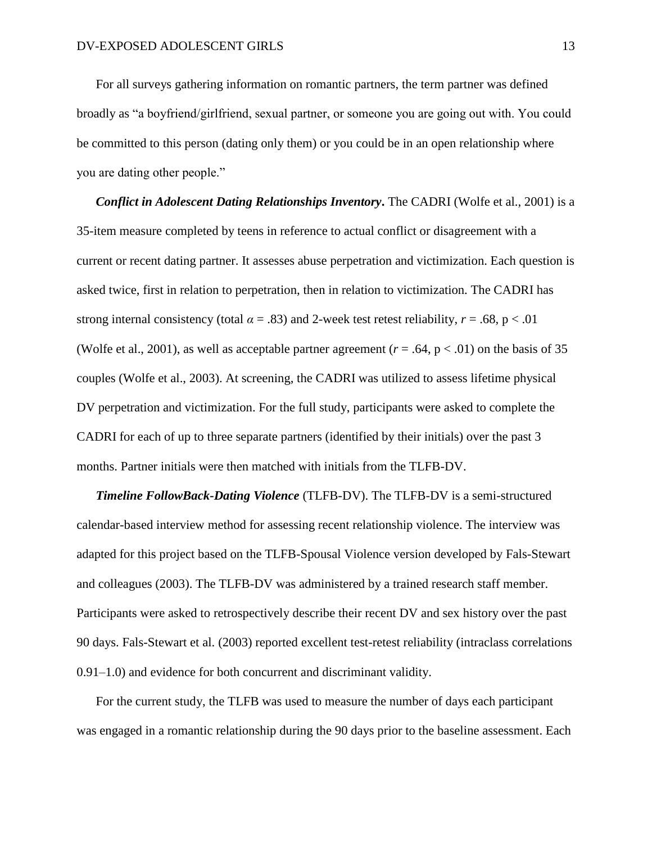For all surveys gathering information on romantic partners, the term partner was defined broadly as "a boyfriend/girlfriend, sexual partner, or someone you are going out with. You could be committed to this person (dating only them) or you could be in an open relationship where you are dating other people."

*Conflict in Adolescent Dating Relationships Inventory***.** The CADRI (Wolfe et al., 2001) is a 35-item measure completed by teens in reference to actual conflict or disagreement with a current or recent dating partner. It assesses abuse perpetration and victimization. Each question is asked twice, first in relation to perpetration, then in relation to victimization. The CADRI has strong internal consistency (total  $\alpha = .83$ ) and 2-week test retest reliability,  $r = .68$ ,  $p < .01$ (Wolfe et al., 2001), as well as acceptable partner agreement ( $r = .64$ ,  $p < .01$ ) on the basis of 35 couples (Wolfe et al., 2003). At screening, the CADRI was utilized to assess lifetime physical DV perpetration and victimization. For the full study, participants were asked to complete the CADRI for each of up to three separate partners (identified by their initials) over the past 3 months. Partner initials were then matched with initials from the TLFB-DV.

*Timeline FollowBack-Dating Violence* (TLFB-DV). The TLFB-DV is a semi-structured calendar-based interview method for assessing recent relationship violence. The interview was adapted for this project based on the TLFB-Spousal Violence version developed by Fals-Stewart and colleagues (2003). The TLFB-DV was administered by a trained research staff member. Participants were asked to retrospectively describe their recent DV and sex history over the past 90 days. Fals-Stewart et al. (2003) reported excellent test-retest reliability (intraclass correlations 0.91–1.0) and evidence for both concurrent and discriminant validity.

For the current study, the TLFB was used to measure the number of days each participant was engaged in a romantic relationship during the 90 days prior to the baseline assessment. Each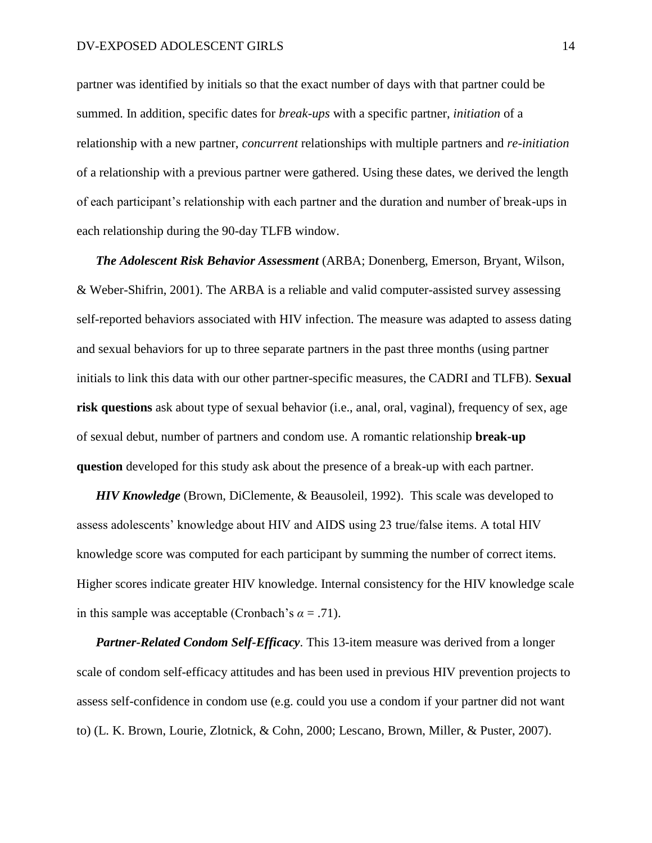partner was identified by initials so that the exact number of days with that partner could be summed. In addition, specific dates for *break-ups* with a specific partner, *initiation* of a relationship with a new partner, *concurrent* relationships with multiple partners and *re-initiation* of a relationship with a previous partner were gathered. Using these dates, we derived the length of each participant's relationship with each partner and the duration and number of break-ups in each relationship during the 90-day TLFB window.

*The Adolescent Risk Behavior Assessment* (ARBA; Donenberg, Emerson, Bryant, Wilson, & Weber-Shifrin, 2001). The ARBA is a reliable and valid computer-assisted survey assessing self-reported behaviors associated with HIV infection. The measure was adapted to assess dating and sexual behaviors for up to three separate partners in the past three months (using partner initials to link this data with our other partner-specific measures, the CADRI and TLFB). **Sexual risk questions** ask about type of sexual behavior (i.e., anal, oral, vaginal), frequency of sex, age of sexual debut, number of partners and condom use. A romantic relationship **break-up question** developed for this study ask about the presence of a break-up with each partner.

*HIV Knowledge* (Brown, DiClemente, & Beausoleil, 1992). This scale was developed to assess adolescents' knowledge about HIV and AIDS using 23 true/false items. A total HIV knowledge score was computed for each participant by summing the number of correct items. Higher scores indicate greater HIV knowledge. Internal consistency for the HIV knowledge scale in this sample was acceptable (Cronbach's  $\alpha = .71$ ).

*Partner-Related Condom Self-Efficacy*. This 13-item measure was derived from a longer scale of condom self-efficacy attitudes and has been used in previous HIV prevention projects to assess self-confidence in condom use (e.g. could you use a condom if your partner did not want to) (L. K. Brown, Lourie, Zlotnick, & Cohn, 2000; Lescano, Brown, Miller, & Puster, 2007).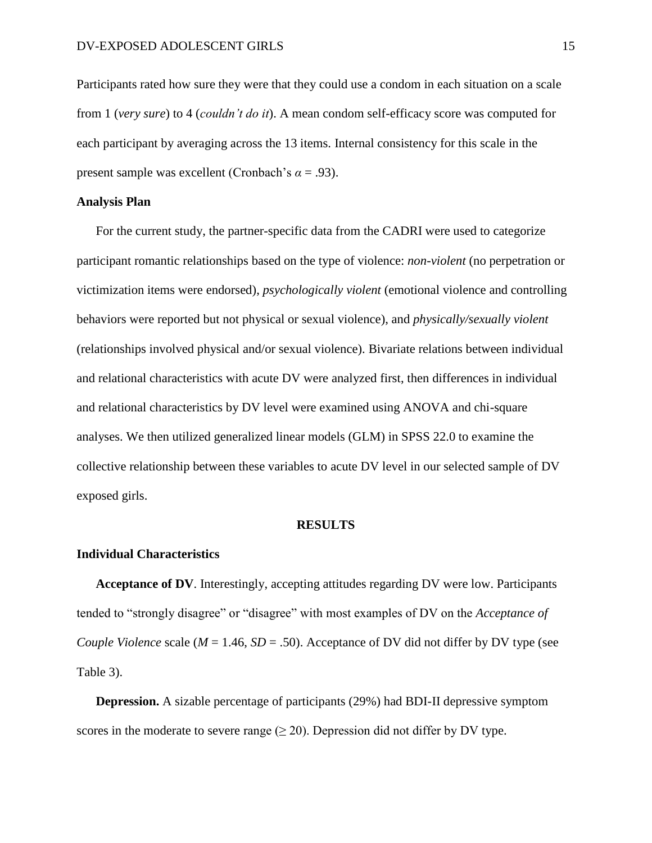Participants rated how sure they were that they could use a condom in each situation on a scale from 1 (*very sure*) to 4 (*couldn't do it*). A mean condom self-efficacy score was computed for each participant by averaging across the 13 items. Internal consistency for this scale in the present sample was excellent (Cronbach's *α* = .93).

#### **Analysis Plan**

For the current study, the partner-specific data from the CADRI were used to categorize participant romantic relationships based on the type of violence: *non-violent* (no perpetration or victimization items were endorsed), *psychologically violent* (emotional violence and controlling behaviors were reported but not physical or sexual violence), and *physically/sexually violent* (relationships involved physical and/or sexual violence). Bivariate relations between individual and relational characteristics with acute DV were analyzed first, then differences in individual and relational characteristics by DV level were examined using ANOVA and chi-square analyses. We then utilized generalized linear models (GLM) in SPSS 22.0 to examine the collective relationship between these variables to acute DV level in our selected sample of DV exposed girls.

#### **RESULTS**

#### **Individual Characteristics**

**Acceptance of DV**. Interestingly, accepting attitudes regarding DV were low. Participants tended to "strongly disagree" or "disagree" with most examples of DV on the *Acceptance of Couple Violence* scale ( $M = 1.46$ ,  $SD = .50$ ). Acceptance of DV did not differ by DV type (see Table 3).

**Depression.** A sizable percentage of participants (29%) had BDI-II depressive symptom scores in the moderate to severe range  $(\geq 20)$ . Depression did not differ by DV type.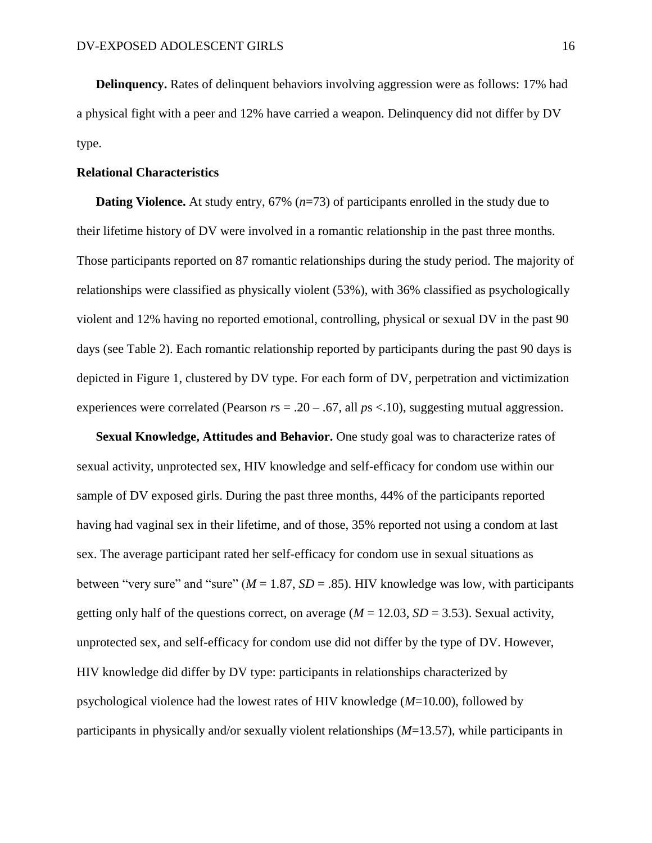**Delinquency.** Rates of delinquent behaviors involving aggression were as follows: 17% had a physical fight with a peer and 12% have carried a weapon. Delinquency did not differ by DV type.

#### **Relational Characteristics**

**Dating Violence.** At study entry, 67% (*n*=73) of participants enrolled in the study due to their lifetime history of DV were involved in a romantic relationship in the past three months. Those participants reported on 87 romantic relationships during the study period. The majority of relationships were classified as physically violent (53%), with 36% classified as psychologically violent and 12% having no reported emotional, controlling, physical or sexual DV in the past 90 days (see Table 2). Each romantic relationship reported by participants during the past 90 days is depicted in Figure 1, clustered by DV type. For each form of DV, perpetration and victimization experiences were correlated (Pearson *r*s = .20 – .67, all *p*s <.10), suggesting mutual aggression.

**Sexual Knowledge, Attitudes and Behavior.** One study goal was to characterize rates of sexual activity, unprotected sex, HIV knowledge and self-efficacy for condom use within our sample of DV exposed girls. During the past three months, 44% of the participants reported having had vaginal sex in their lifetime, and of those, 35% reported not using a condom at last sex. The average participant rated her self-efficacy for condom use in sexual situations as between "very sure" and "sure" ( $M = 1.87$ ,  $SD = .85$ ). HIV knowledge was low, with participants getting only half of the questions correct, on average  $(M = 12.03, SD = 3.53)$ . Sexual activity, unprotected sex, and self-efficacy for condom use did not differ by the type of DV. However, HIV knowledge did differ by DV type: participants in relationships characterized by psychological violence had the lowest rates of HIV knowledge (*M*=10.00), followed by participants in physically and/or sexually violent relationships (*M*=13.57), while participants in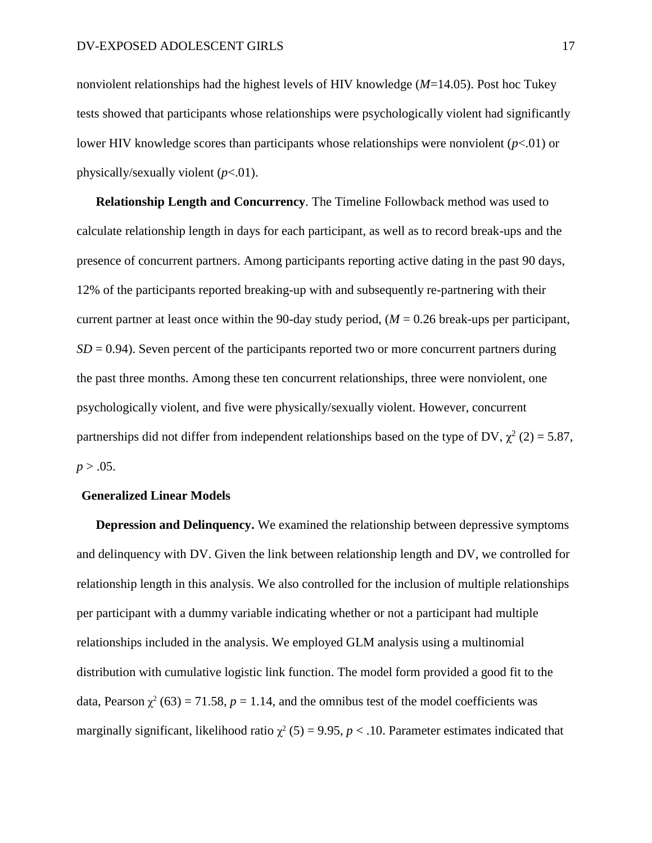nonviolent relationships had the highest levels of HIV knowledge (*M*=14.05). Post hoc Tukey tests showed that participants whose relationships were psychologically violent had significantly lower HIV knowledge scores than participants whose relationships were nonviolent  $(p<.01)$  or physically/sexually violent (*p*<.01).

**Relationship Length and Concurrency***.* The Timeline Followback method was used to calculate relationship length in days for each participant, as well as to record break-ups and the presence of concurrent partners. Among participants reporting active dating in the past 90 days, 12% of the participants reported breaking-up with and subsequently re-partnering with their current partner at least once within the 90-day study period,  $(M = 0.26$  break-ups per participant,  $SD = 0.94$ ). Seven percent of the participants reported two or more concurrent partners during the past three months. Among these ten concurrent relationships, three were nonviolent, one psychologically violent, and five were physically/sexually violent. However, concurrent partnerships did not differ from independent relationships based on the type of DV,  $\chi^2$  (2) = 5.87,  $p > .05$ .

#### **Generalized Linear Models**

**Depression and Delinquency.** We examined the relationship between depressive symptoms and delinquency with DV. Given the link between relationship length and DV, we controlled for relationship length in this analysis. We also controlled for the inclusion of multiple relationships per participant with a dummy variable indicating whether or not a participant had multiple relationships included in the analysis. We employed GLM analysis using a multinomial distribution with cumulative logistic link function. The model form provided a good fit to the data, Pearson  $\chi^2$  (63) = 71.58,  $p = 1.14$ , and the omnibus test of the model coefficients was marginally significant, likelihood ratio  $\chi^2$  (5) = 9.95, *p* < .10. Parameter estimates indicated that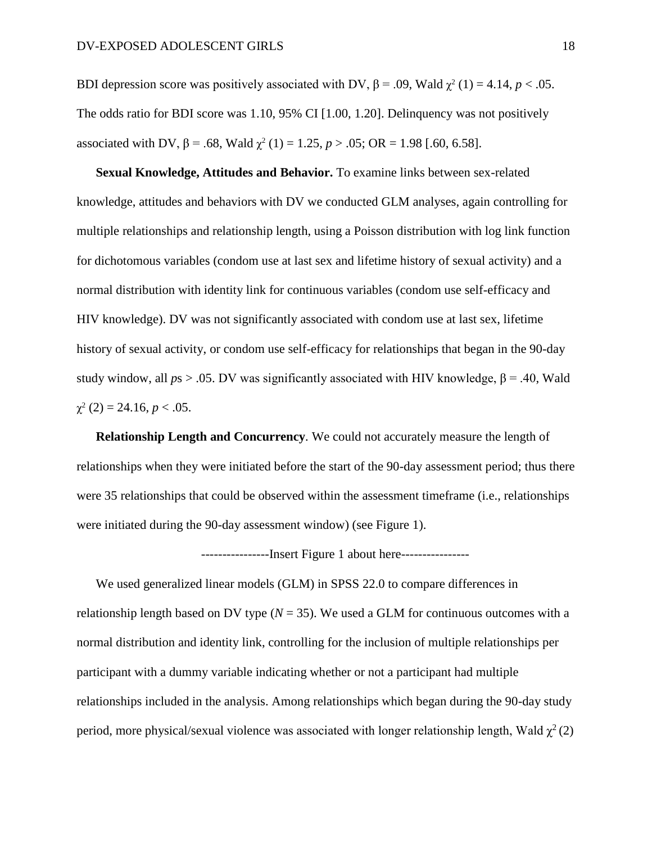BDI depression score was positively associated with DV,  $β = .09$ , Wald  $χ²(1) = 4.14$ ,  $p < .05$ . The odds ratio for BDI score was 1.10, 95% CI [1.00, 1.20]. Delinquency was not positively associated with DV,  $\beta = .68$ , Wald  $\chi^2(1) = 1.25$ ,  $p > .05$ ; OR = 1.98 [.60, 6.58].

**Sexual Knowledge, Attitudes and Behavior.** To examine links between sex-related knowledge, attitudes and behaviors with DV we conducted GLM analyses, again controlling for multiple relationships and relationship length, using a Poisson distribution with log link function for dichotomous variables (condom use at last sex and lifetime history of sexual activity) and a normal distribution with identity link for continuous variables (condom use self-efficacy and HIV knowledge). DV was not significantly associated with condom use at last sex, lifetime history of sexual activity, or condom use self-efficacy for relationships that began in the 90-day study window, all  $ps > 0.05$ . DV was significantly associated with HIV knowledge,  $β = 0.40$ , Wald  $\chi^2$  (2) = 24.16, *p* < .05.

**Relationship Length and Concurrency***.* We could not accurately measure the length of relationships when they were initiated before the start of the 90-day assessment period; thus there were 35 relationships that could be observed within the assessment timeframe (i.e., relationships were initiated during the 90-day assessment window) (see Figure 1).

----------------Insert Figure 1 about here----------------

We used generalized linear models (GLM) in SPSS 22.0 to compare differences in relationship length based on DV type  $(N = 35)$ . We used a GLM for continuous outcomes with a normal distribution and identity link, controlling for the inclusion of multiple relationships per participant with a dummy variable indicating whether or not a participant had multiple relationships included in the analysis. Among relationships which began during the 90-day study period, more physical/sexual violence was associated with longer relationship length, Wald  $\chi^2(2)$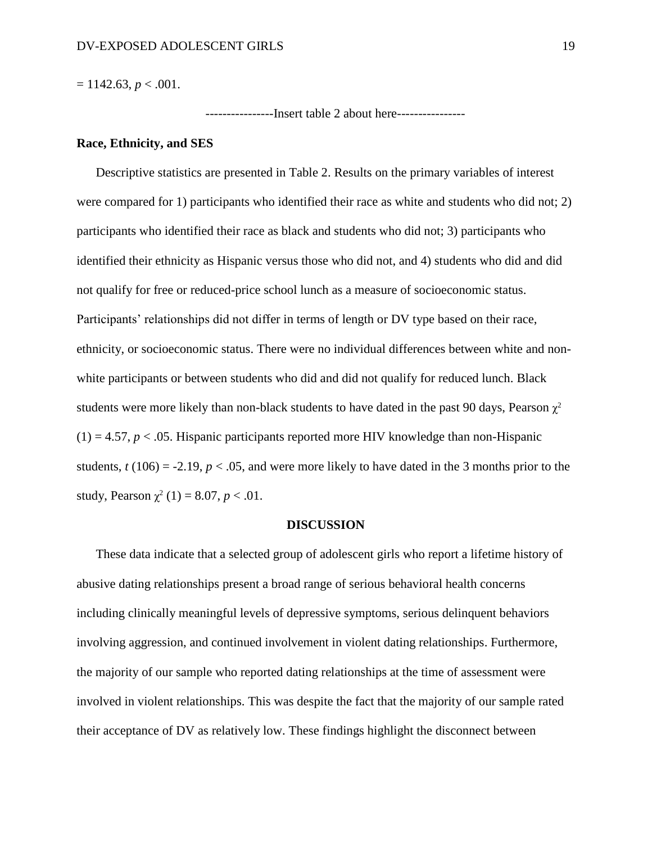$= 1142.63, p < .001.$ 

----------------Insert table 2 about here----------------

#### **Race, Ethnicity, and SES**

Descriptive statistics are presented in Table 2. Results on the primary variables of interest were compared for 1) participants who identified their race as white and students who did not; 2) participants who identified their race as black and students who did not; 3) participants who identified their ethnicity as Hispanic versus those who did not, and 4) students who did and did not qualify for free or reduced-price school lunch as a measure of socioeconomic status. Participants' relationships did not differ in terms of length or DV type based on their race, ethnicity, or socioeconomic status. There were no individual differences between white and nonwhite participants or between students who did and did not qualify for reduced lunch. Black students were more likely than non-black students to have dated in the past 90 days, Pearson  $\chi^2$  $(1) = 4.57$ ,  $p < .05$ . Hispanic participants reported more HIV knowledge than non-Hispanic students,  $t (106) = -2.19$ ,  $p < .05$ , and were more likely to have dated in the 3 months prior to the study, Pearson  $\chi^2$  (1) = 8.07, *p* < .01.

#### **DISCUSSION**

These data indicate that a selected group of adolescent girls who report a lifetime history of abusive dating relationships present a broad range of serious behavioral health concerns including clinically meaningful levels of depressive symptoms, serious delinquent behaviors involving aggression, and continued involvement in violent dating relationships. Furthermore, the majority of our sample who reported dating relationships at the time of assessment were involved in violent relationships. This was despite the fact that the majority of our sample rated their acceptance of DV as relatively low. These findings highlight the disconnect between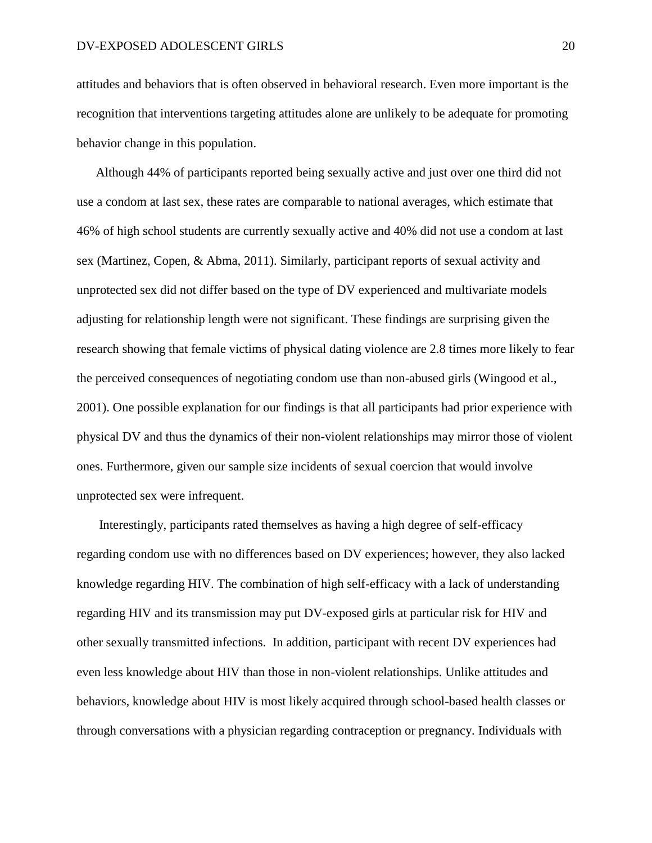attitudes and behaviors that is often observed in behavioral research. Even more important is the recognition that interventions targeting attitudes alone are unlikely to be adequate for promoting behavior change in this population.

Although 44% of participants reported being sexually active and just over one third did not use a condom at last sex, these rates are comparable to national averages, which estimate that 46% of high school students are currently sexually active and 40% did not use a condom at last sex (Martinez, Copen, & Abma, 2011). Similarly, participant reports of sexual activity and unprotected sex did not differ based on the type of DV experienced and multivariate models adjusting for relationship length were not significant. These findings are surprising given the research showing that female victims of physical dating violence are 2.8 times more likely to fear the perceived consequences of negotiating condom use than non-abused girls (Wingood et al., 2001). One possible explanation for our findings is that all participants had prior experience with physical DV and thus the dynamics of their non-violent relationships may mirror those of violent ones. Furthermore, given our sample size incidents of sexual coercion that would involve unprotected sex were infrequent.

Interestingly, participants rated themselves as having a high degree of self-efficacy regarding condom use with no differences based on DV experiences; however, they also lacked knowledge regarding HIV. The combination of high self-efficacy with a lack of understanding regarding HIV and its transmission may put DV-exposed girls at particular risk for HIV and other sexually transmitted infections. In addition, participant with recent DV experiences had even less knowledge about HIV than those in non-violent relationships. Unlike attitudes and behaviors, knowledge about HIV is most likely acquired through school-based health classes or through conversations with a physician regarding contraception or pregnancy. Individuals with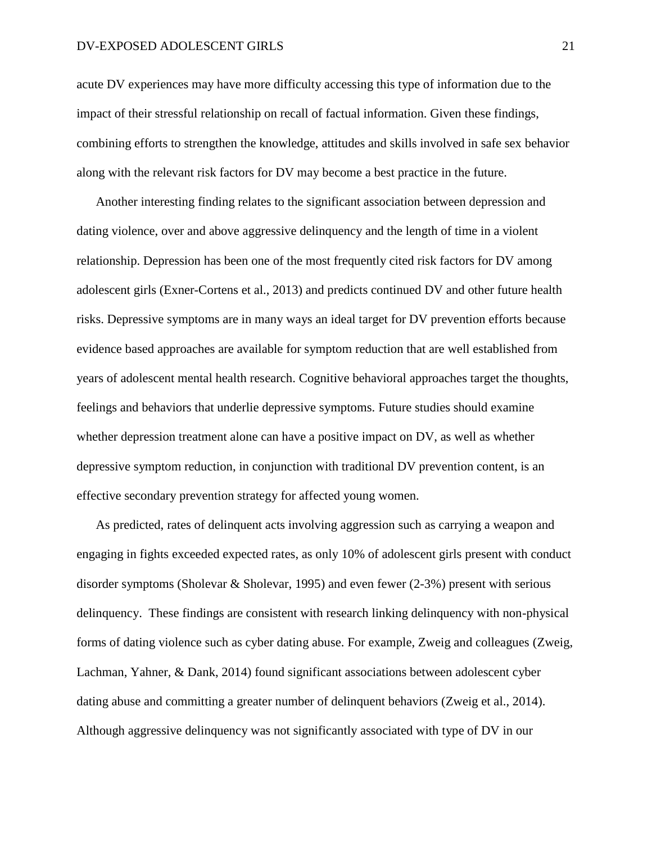acute DV experiences may have more difficulty accessing this type of information due to the impact of their stressful relationship on recall of factual information. Given these findings, combining efforts to strengthen the knowledge, attitudes and skills involved in safe sex behavior along with the relevant risk factors for DV may become a best practice in the future.

Another interesting finding relates to the significant association between depression and dating violence, over and above aggressive delinquency and the length of time in a violent relationship. Depression has been one of the most frequently cited risk factors for DV among adolescent girls (Exner-Cortens et al., 2013) and predicts continued DV and other future health risks. Depressive symptoms are in many ways an ideal target for DV prevention efforts because evidence based approaches are available for symptom reduction that are well established from years of adolescent mental health research. Cognitive behavioral approaches target the thoughts, feelings and behaviors that underlie depressive symptoms. Future studies should examine whether depression treatment alone can have a positive impact on DV, as well as whether depressive symptom reduction, in conjunction with traditional DV prevention content, is an effective secondary prevention strategy for affected young women.

As predicted, rates of delinquent acts involving aggression such as carrying a weapon and engaging in fights exceeded expected rates, as only 10% of adolescent girls present with conduct disorder symptoms (Sholevar & Sholevar, 1995) and even fewer (2-3%) present with serious delinquency. These findings are consistent with research linking delinquency with non-physical forms of dating violence such as cyber dating abuse. For example, Zweig and colleagues (Zweig, Lachman, Yahner, & Dank, 2014) found significant associations between adolescent cyber dating abuse and committing a greater number of delinquent behaviors (Zweig et al., 2014). Although aggressive delinquency was not significantly associated with type of DV in our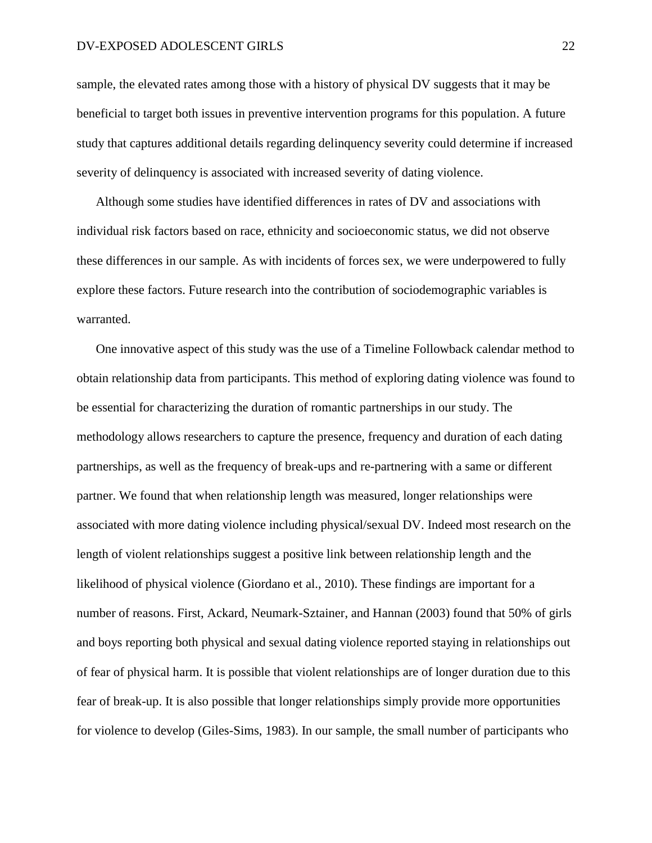sample, the elevated rates among those with a history of physical DV suggests that it may be beneficial to target both issues in preventive intervention programs for this population. A future study that captures additional details regarding delinquency severity could determine if increased severity of delinquency is associated with increased severity of dating violence.

Although some studies have identified differences in rates of DV and associations with individual risk factors based on race, ethnicity and socioeconomic status, we did not observe these differences in our sample. As with incidents of forces sex, we were underpowered to fully explore these factors. Future research into the contribution of sociodemographic variables is warranted.

One innovative aspect of this study was the use of a Timeline Followback calendar method to obtain relationship data from participants. This method of exploring dating violence was found to be essential for characterizing the duration of romantic partnerships in our study. The methodology allows researchers to capture the presence, frequency and duration of each dating partnerships, as well as the frequency of break-ups and re-partnering with a same or different partner. We found that when relationship length was measured, longer relationships were associated with more dating violence including physical/sexual DV. Indeed most research on the length of violent relationships suggest a positive link between relationship length and the likelihood of physical violence (Giordano et al., 2010). These findings are important for a number of reasons. First, Ackard, Neumark-Sztainer, and Hannan (2003) found that 50% of girls and boys reporting both physical and sexual dating violence reported staying in relationships out of fear of physical harm. It is possible that violent relationships are of longer duration due to this fear of break-up. It is also possible that longer relationships simply provide more opportunities for violence to develop (Giles-Sims, 1983). In our sample, the small number of participants who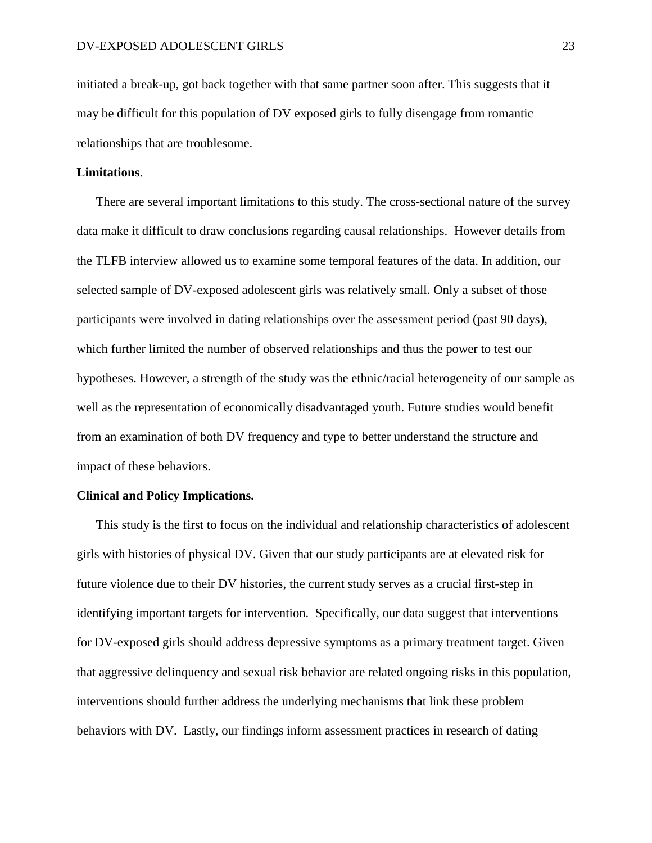initiated a break-up, got back together with that same partner soon after. This suggests that it may be difficult for this population of DV exposed girls to fully disengage from romantic relationships that are troublesome.

#### **Limitations**.

There are several important limitations to this study. The cross-sectional nature of the survey data make it difficult to draw conclusions regarding causal relationships. However details from the TLFB interview allowed us to examine some temporal features of the data. In addition, our selected sample of DV-exposed adolescent girls was relatively small. Only a subset of those participants were involved in dating relationships over the assessment period (past 90 days), which further limited the number of observed relationships and thus the power to test our hypotheses. However, a strength of the study was the ethnic/racial heterogeneity of our sample as well as the representation of economically disadvantaged youth. Future studies would benefit from an examination of both DV frequency and type to better understand the structure and impact of these behaviors.

#### **Clinical and Policy Implications.**

This study is the first to focus on the individual and relationship characteristics of adolescent girls with histories of physical DV. Given that our study participants are at elevated risk for future violence due to their DV histories, the current study serves as a crucial first-step in identifying important targets for intervention. Specifically, our data suggest that interventions for DV-exposed girls should address depressive symptoms as a primary treatment target. Given that aggressive delinquency and sexual risk behavior are related ongoing risks in this population, interventions should further address the underlying mechanisms that link these problem behaviors with DV. Lastly, our findings inform assessment practices in research of dating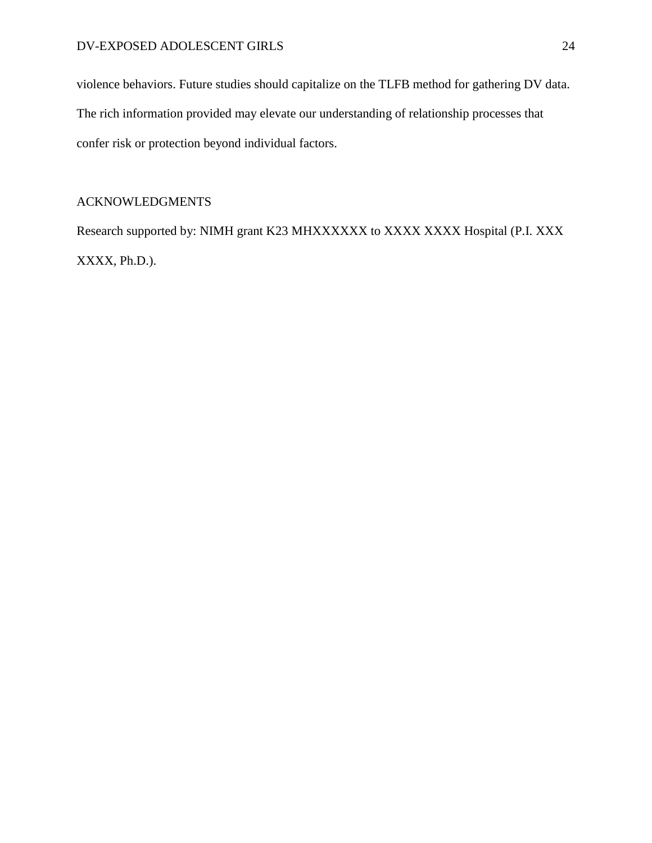violence behaviors. Future studies should capitalize on the TLFB method for gathering DV data. The rich information provided may elevate our understanding of relationship processes that confer risk or protection beyond individual factors.

## ACKNOWLEDGMENTS

Research supported by: NIMH grant K23 MHXXXXXX to XXXX XXXX Hospital (P.I. XXX XXXX, Ph.D.).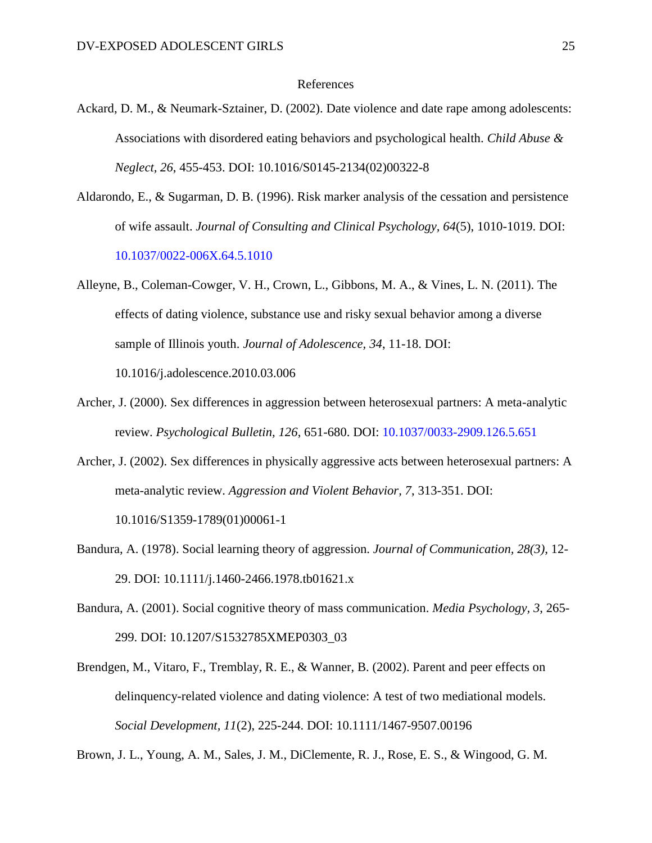#### References

- Ackard, D. M., & Neumark-Sztainer, D. (2002). Date violence and date rape among adolescents: Associations with disordered eating behaviors and psychological health. *Child Abuse & Neglect, 26*, 455-453. DOI: [10.1016/S0145-2134\(02\)00322-8](http://dx.doi.org/10.1016/S0145-2134(02)00322-8)
- Aldarondo, E., & Sugarman, D. B. (1996). Risk marker analysis of the cessation and persistence of wife assault. *Journal of Consulting and Clinical Psychology, 64*(5), 1010-1019. DOI: 10.1037/0022-006X.64.5.1010
- Alleyne, B., Coleman-Cowger, V. H., Crown, L., Gibbons, M. A., & Vines, L. N. (2011). The effects of dating violence, substance use and risky sexual behavior among a diverse sample of Illinois youth. *Journal of Adolescence, 34*, 11-18. DOI: 10.1016/j.adolescence.2010.03.006
- Archer, J. (2000). Sex differences in aggression between heterosexual partners: A meta-analytic review. *Psychological Bulletin, 126*, 651-680. DOI: 10.1037/0033-2909.126.5.651
- Archer, J. (2002). Sex differences in physically aggressive acts between heterosexual partners: A meta-analytic review. *Aggression and Violent Behavior, 7*, 313-351. DOI: 10.1016/S1359-1789(01)00061-1
- Bandura, A. (1978). Social learning theory of aggression. *Journal of Communication, 28(3)*, 12- 29. DOI: 10.1111/j.1460-2466.1978.tb01621.x
- Bandura, A. (2001). Social cognitive theory of mass communication. *Media Psychology, 3*, 265- 299. DOI: 10.1207/S1532785XMEP0303\_03
- Brendgen, M., Vitaro, F., Tremblay, R. E., & Wanner, B. (2002). Parent and peer effects on delinquency-related violence and dating violence: A test of two mediational models. *Social Development, 11*(2), 225-244. DOI: 10.1111/1467-9507.00196

Brown, J. L., Young, A. M., Sales, J. M., DiClemente, R. J., Rose, E. S., & Wingood, G. M.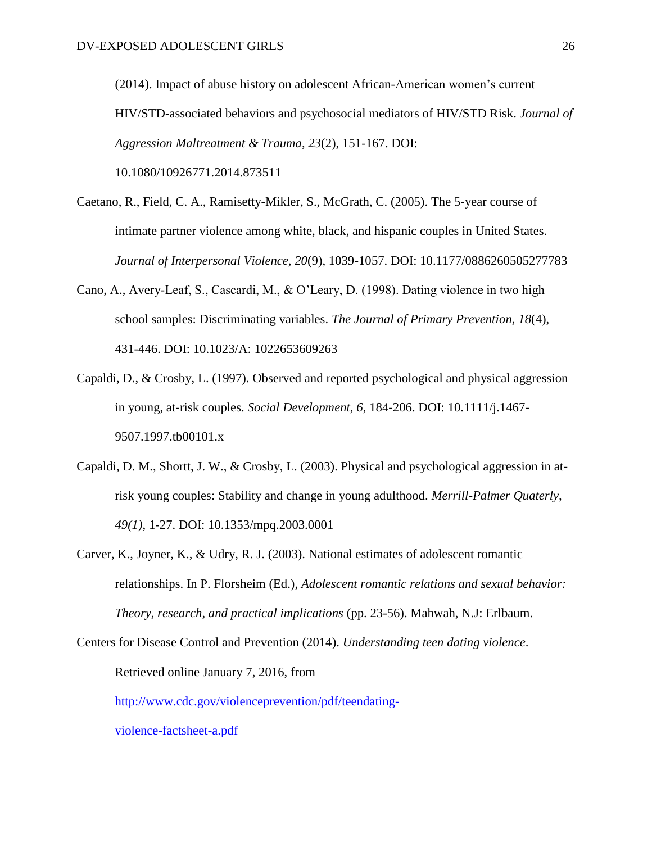(2014). Impact of abuse history on adolescent African-American women's current HIV/STD-associated behaviors and psychosocial mediators of HIV/STD Risk. *Journal of Aggression Maltreatment & Trauma, 23*(2), 151-167. DOI: 10.1080/10926771.2014.873511

- Caetano, R., Field, C. A., Ramisetty-Mikler, S., McGrath, C. (2005). The 5-year course of intimate partner violence among white, black, and hispanic couples in United States. *Journal of Interpersonal Violence, 20*(9), 1039-1057. DOI: 10.1177/0886260505277783
- Cano, A., Avery-Leaf, S., Cascardi, M., & O'Leary, D. (1998). Dating violence in two high school samples: Discriminating variables. *The Journal of Primary Prevention, 18*(4), 431-446. DOI: 10.1023/A: 1022653609263
- Capaldi, D., & Crosby, L. (1997). Observed and reported psychological and physical aggression in young, at-risk couples. *Social Development, 6*, 184-206. DOI: 10.1111/j.1467- 9507.1997.tb00101.x
- Capaldi, D. M., Shortt, J. W., & Crosby, L. (2003). Physical and psychological aggression in atrisk young couples: Stability and change in young adulthood. *Merrill-Palmer Quaterly, 49(1)*, 1-27. DOI: 10.1353/mpq.2003.0001
- Carver, K., Joyner, K., & Udry, R. J. (2003). National estimates of adolescent romantic relationships. In P. Florsheim (Ed.), *Adolescent romantic relations and sexual behavior: Theory, research, and practical implications* (pp. 23-56). Mahwah, N.J: Erlbaum.

Centers for Disease Control and Prevention (2014). *Understanding teen dating violence*. Retrieved online January 7, 2016, from http://www.cdc.gov/violenceprevention/pdf/teendating-

violence-factsheet-a.pdf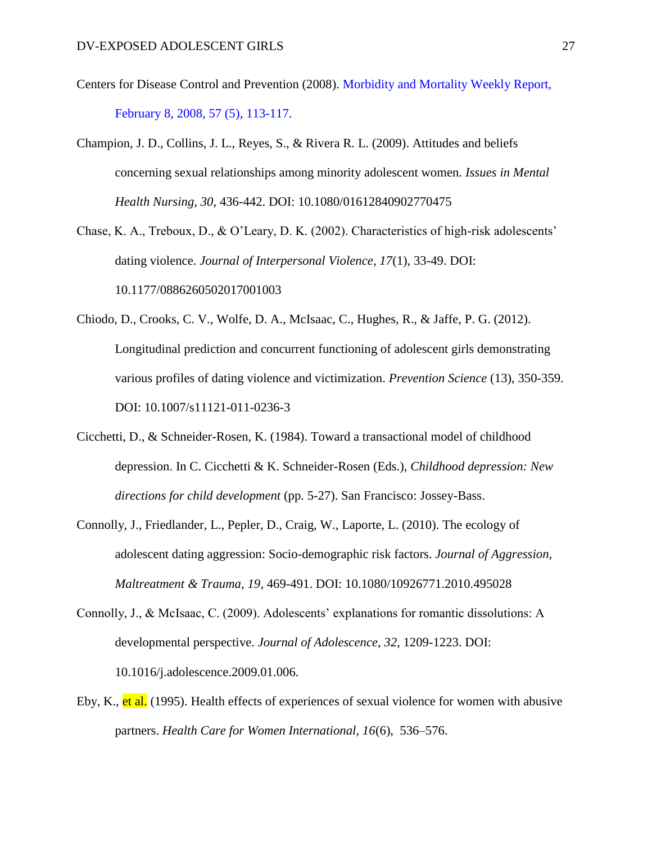- Centers for Disease Control and Prevention (2008). Morbidity and Mortality Weekly Report, February 8, 2008, 57 (5), 113-117.
- Champion, J. D., Collins, J. L., Reyes, S., & Rivera R. L. (2009). Attitudes and beliefs concerning sexual relationships among minority adolescent women. *Issues in Mental Health Nursing, 30*, 436-442. DOI: 10.1080/01612840902770475

Chase, K. A., Treboux, D., & O'Leary, D. K. (2002). Characteristics of high-risk adolescents' dating violence. *Journal of Interpersonal Violence, 17*(1), 33-49. DOI: 10.1177/0886260502017001003

- Chiodo, D., Crooks, C. V., Wolfe, D. A., McIsaac, C., Hughes, R., & Jaffe, P. G. (2012). Longitudinal prediction and concurrent functioning of adolescent girls demonstrating various profiles of dating violence and victimization. *Prevention Science* (13), 350-359. DOI: 10.1007/s11121-011-0236-3
- Cicchetti, D., & Schneider-Rosen, K. (1984). Toward a transactional model of childhood depression. In C. Cicchetti & K. Schneider-Rosen (Eds.), *Childhood depression: New directions for child development* (pp. 5-27). San Francisco: Jossey-Bass.
- Connolly, J., Friedlander, L., Pepler, D., Craig, W., Laporte, L. (2010). The ecology of adolescent dating aggression: Socio-demographic risk factors. *Journal of Aggression, Maltreatment & Trauma, 19*, 469-491. DOI: 10.1080/10926771.2010.495028
- Connolly, J., & McIsaac, C. (2009). Adolescents' explanations for romantic dissolutions: A developmental perspective. *Journal of Adolescence, 32*, 1209-1223. DOI: 10.1016/j.adolescence.2009.01.006.
- Eby, K., et al. (1995). Health effects of experiences of sexual violence for women with abusive partners. *Health Care for Women International, 16*(6), 536–576.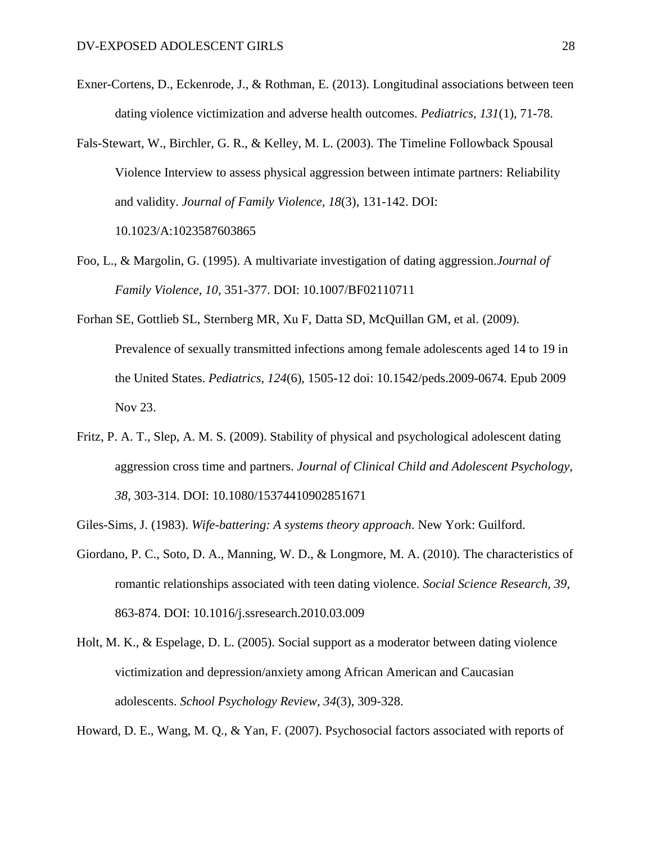- Exner-Cortens, D., Eckenrode, J., & Rothman, E. (2013). Longitudinal associations between teen dating violence victimization and adverse health outcomes. *Pediatrics, 131*(1), 71-78.
- Fals-Stewart, W., Birchler, G. R., & Kelley, M. L. (2003). The Timeline Followback Spousal Violence Interview to assess physical aggression between intimate partners: Reliability and validity. *Journal of Family Violence, 18*(3), 131-142. DOI:

10.1023/A:1023587603865

- Foo, L., & Margolin, G. (1995). A multivariate investigation of dating aggression.*Journal of Family Violence, 10*, 351-377. DOI: 10.1007/BF02110711
- Forhan SE, Gottlieb SL, Sternberg MR, Xu F, Datta SD, McQuillan GM, et al. (2009). Prevalence of sexually transmitted infections among female adolescents aged 14 to 19 in the United States. *Pediatrics, 124*(6), 1505-12 doi: 10.1542/peds.2009-0674. Epub 2009 Nov 23.
- Fritz, P. A. T., Slep, A. M. S. (2009). Stability of physical and psychological adolescent dating aggression cross time and partners. *Journal of Clinical Child and Adolescent Psychology, 38*, 303-314. DOI: 10.1080/15374410902851671
- Giles-Sims, J. (1983). *Wife-battering: A systems theory approach*. New York: Guilford.
- Giordano, P. C., Soto, D. A., Manning, W. D., & Longmore, M. A. (2010). The characteristics of romantic relationships associated with teen dating violence. *Social Science Research, 39*, 863-874. DOI: 10.1016/j.ssresearch.2010.03.009
- Holt, M. K., & Espelage, D. L. (2005). Social support as a moderator between dating violence victimization and depression/anxiety among African American and Caucasian adolescents. *School Psychology Review, 34*(3), 309-328.

Howard, D. E., Wang, M. Q., & Yan, F. (2007). Psychosocial factors associated with reports of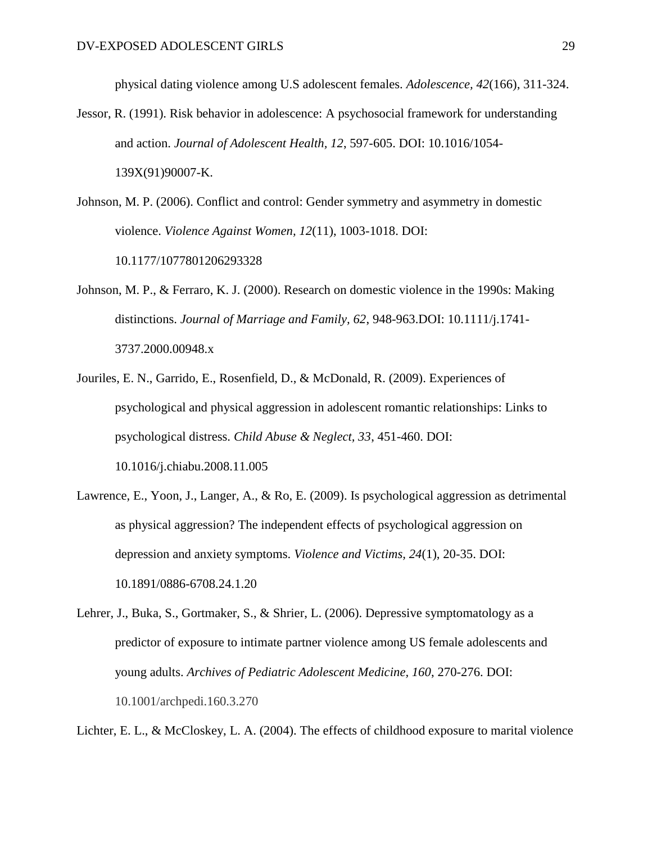physical dating violence among U.S adolescent females. *Adolescence, 42*(166), 311-324.

- Jessor, R. (1991). Risk behavior in adolescence: A psychosocial framework for understanding and action. *Journal of Adolescent Health, 12*, 597-605. DOI: 10.1016/1054- 139X(91)90007-K.
- Johnson, M. P. (2006). Conflict and control: Gender symmetry and asymmetry in domestic violence. *Violence Against Women, 12*(11), 1003-1018. DOI: 10.1177/1077801206293328
- Johnson, M. P., & Ferraro, K. J. (2000). Research on domestic violence in the 1990s: Making distinctions. *Journal of Marriage and Family, 62*, 948-963.DOI: 10.1111/j.1741- 3737.2000.00948.x
- Jouriles, E. N., Garrido, E., Rosenfield, D., & McDonald, R. (2009). Experiences of psychological and physical aggression in adolescent romantic relationships: Links to psychological distress. *Child Abuse & Neglect, 33*, 451-460. DOI: 10.1016/j.chiabu.2008.11.005
- Lawrence, E., Yoon, J., Langer, A., & Ro, E. (2009). Is psychological aggression as detrimental as physical aggression? The independent effects of psychological aggression on depression and anxiety symptoms. *Violence and Victims, 24*(1), 20-35. DOI: [10.1891/0886-6708.24.1.20](http://dx.doi.org/10.1891/0886-6708.24.1.20)
- Lehrer, J., Buka, S., Gortmaker, S., & Shrier, L. (2006). Depressive symptomatology as a predictor of exposure to intimate partner violence among US female adolescents and young adults. *Archives of Pediatric Adolescent Medicine, 160*, 270-276. DOI: 10.1001/archpedi.160.3.270

Lichter, E. L., & McCloskey, L. A. (2004). The effects of childhood exposure to marital violence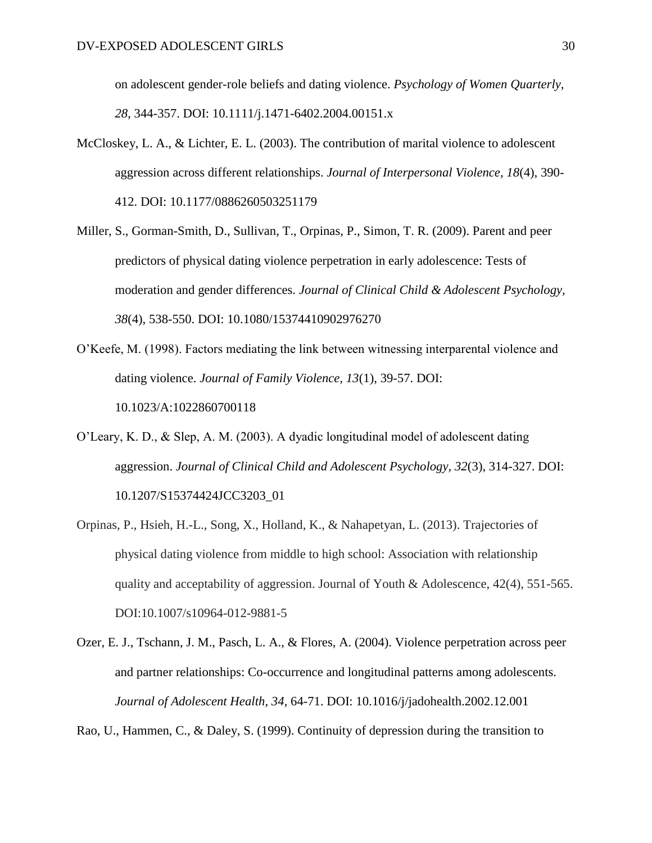on adolescent gender-role beliefs and dating violence. *Psychology of Women Quarterly, 28*, 344-357. DOI: 10.1111/j.1471-6402.2004.00151.x

- McCloskey, L. A., & Lichter, E. L. (2003). The contribution of marital violence to adolescent aggression across different relationships. *Journal of Interpersonal Violence, 18*(4), 390- 412. DOI: 10.1177/0886260503251179
- Miller, S., Gorman-Smith, D., Sullivan, T., Orpinas, P., Simon, T. R. (2009). Parent and peer predictors of physical dating violence perpetration in early adolescence: Tests of moderation and gender differences. *Journal of Clinical Child & Adolescent Psychology, 38*(4), 538-550. DOI: 10.1080/15374410902976270
- O'Keefe, M. (1998). Factors mediating the link between witnessing interparental violence and dating violence. *Journal of Family Violence, 13*(1), 39-57. DOI: 10.1023/A:1022860700118
- O'Leary, K. D., & Slep, A. M. (2003). A dyadic longitudinal model of adolescent dating aggression. *Journal of Clinical Child and Adolescent Psychology, 32*(3), 314-327. DOI: 10.1207/S15374424JCC3203\_01
- Orpinas, P., Hsieh, H.-L., Song, X., Holland, K., & Nahapetyan, L. (2013). Trajectories of physical dating violence from middle to high school: Association with relationship quality and acceptability of aggression. Journal of Youth & Adolescence,  $42(4)$ ,  $551-565$ . DOI:10.1007/s10964-012-9881-5
- Ozer, E. J., Tschann, J. M., Pasch, L. A., & Flores, A. (2004). Violence perpetration across peer and partner relationships: Co-occurrence and longitudinal patterns among adolescents. *Journal of Adolescent Health, 34*, 64-71. DOI: 10.1016/j/jadohealth.2002.12.001

Rao, U., Hammen, C., & Daley, S. (1999). Continuity of depression during the transition to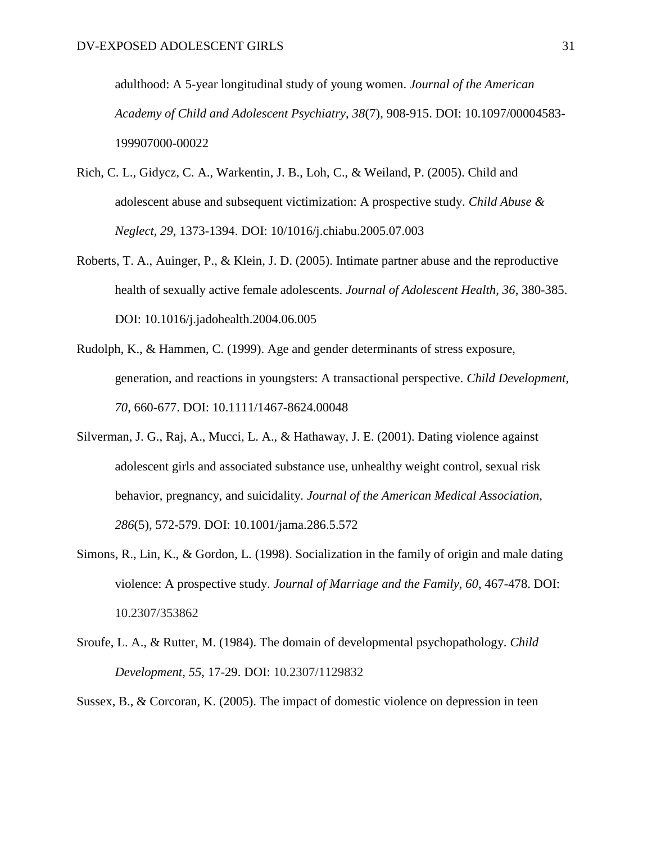adulthood: A 5-year longitudinal study of young women. *Journal of the American Academy of Child and Adolescent Psychiatry, 38*(7), 908-915. DOI: [10.1097/00004583-](http://dx.doi.org/10.1097/00004583-199907000-00022) [199907000-00022](http://dx.doi.org/10.1097/00004583-199907000-00022)

- Rich, C. L., Gidycz, C. A., Warkentin, J. B., Loh, C., & Weiland, P. (2005). Child and adolescent abuse and subsequent victimization: A prospective study. *Child Abuse & Neglect, 29*, 1373-1394. DOI: 10/1016/j.chiabu.2005.07.003
- Roberts, T. A., Auinger, P., & Klein, J. D. (2005). Intimate partner abuse and the reproductive health of sexually active female adolescents. *Journal of Adolescent Health, 36*, 380-385. DOI: [10.1016/j.jadohealth.2004.06.005](http://dx.doi.org/10.1016/j.jadohealth.2004.06.005)
- Rudolph, K., & Hammen, C. (1999). Age and gender determinants of stress exposure, generation, and reactions in youngsters: A transactional perspective. *Child Development, 70*, 660-677. DOI: 10.1111/1467-8624.00048
- Silverman, J. G., Raj, A., Mucci, L. A., & Hathaway, J. E. (2001). Dating violence against adolescent girls and associated substance use, unhealthy weight control, sexual risk behavior, pregnancy, and suicidality. *Journal of the American Medical Association, 286*(5), 572-579. DOI: 10.1001/jama.286.5.572
- Simons, R., Lin, K., & Gordon, L. (1998). Socialization in the family of origin and male dating violence: A prospective study. *Journal of Marriage and the Family, 60*, 467-478. DOI: 10.2307/353862
- Sroufe, L. A., & Rutter, M. (1984). The domain of developmental psychopathology. *Child Development, 55*, 17-29. DOI: 10.2307/1129832

Sussex, B., & Corcoran, K. (2005). The impact of domestic violence on depression in teen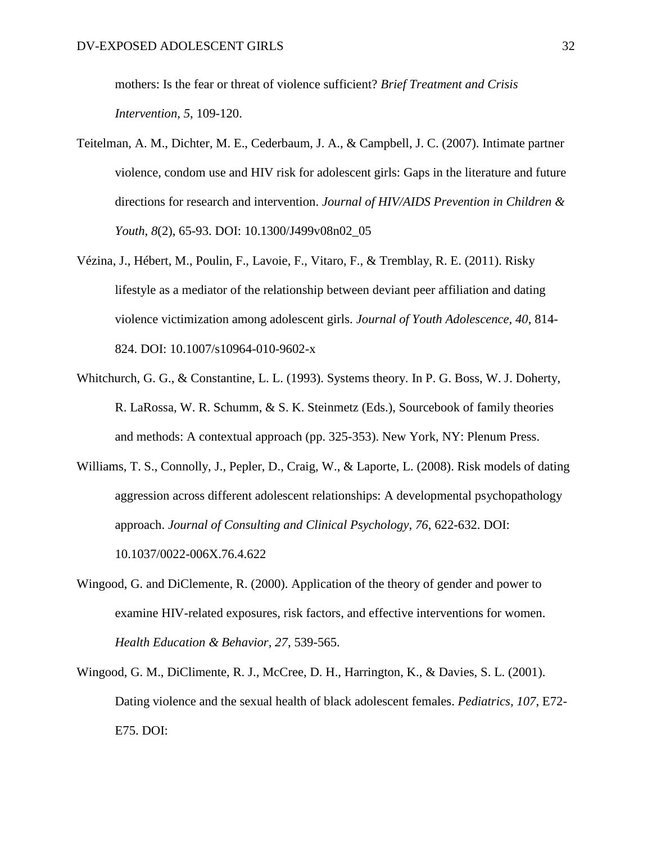mothers: Is the fear or threat of violence sufficient? *Brief Treatment and Crisis Intervention, 5*, 109-120.

- Teitelman, A. M., Dichter, M. E., Cederbaum, J. A., & Campbell, J. C. (2007). Intimate partner violence, condom use and HIV risk for adolescent girls: Gaps in the literature and future directions for research and intervention. *Journal of HIV/AIDS Prevention in Children & Youth, 8*(2), 65-93. DOI: 10.1300/J499v08n02\_05
- Vézina, J., Hébert, M., Poulin, F., Lavoie, F., Vitaro, F., & Tremblay, R. E. (2011). Risky lifestyle as a mediator of the relationship between deviant peer affiliation and dating violence victimization among adolescent girls. *Journal of Youth Adolescence, 40*, 814- 824. DOI: 10.1007/s10964-010-9602-x
- Whitchurch, G. G., & Constantine, L. L. (1993). Systems theory. In P. G. Boss, W. J. Doherty, R. LaRossa, W. R. Schumm, & S. K. Steinmetz (Eds.), Sourcebook of family theories and methods: A contextual approach (pp. 325-353). New York, NY: Plenum Press.
- Williams, T. S., Connolly, J., Pepler, D., Craig, W., & Laporte, L. (2008). Risk models of dating aggression across different adolescent relationships: A developmental psychopathology approach. *Journal of Consulting and Clinical Psychology, 76*, 622-632. DOI: [10.1037/0022-006X.76.4.622](http://psycnet.apa.org/doi/10.1037/0022-006X.76.4.622)
- Wingood, G. and DiClemente, R. (2000). Application of the theory of gender and power to examine HIV-related exposures, risk factors, and effective interventions for women. *Health Education & Behavior, 27*, 539-565.
- Wingood, G. M., DiClimente, R. J., McCree, D. H., Harrington, K., & Davies, S. L. (2001). Dating violence and the sexual health of black adolescent females. *Pediatrics, 107*, E72- E75. DOI: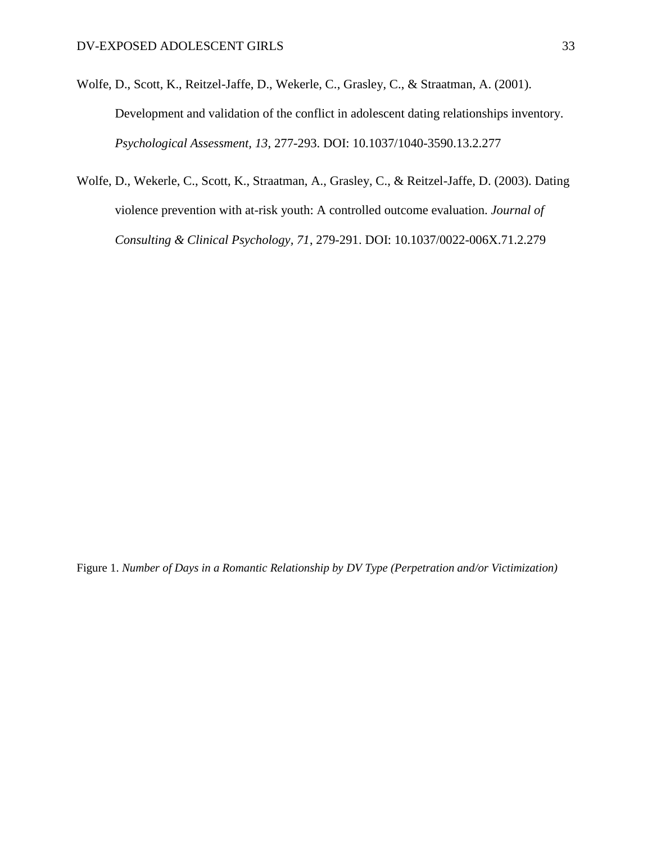- Wolfe, D., Scott, K., Reitzel-Jaffe, D., Wekerle, C., Grasley, C., & Straatman, A. (2001). Development and validation of the conflict in adolescent dating relationships inventory. *Psychological Assessment, 13*, 277-293. DOI: [10.1037/1040-3590.13.2.277](http://psycnet.apa.org/doi/10.1037/1040-3590.13.2.277)
- Wolfe, D., Wekerle, C., Scott, K., Straatman, A., Grasley, C., & Reitzel-Jaffe, D. (2003). Dating violence prevention with at-risk youth: A controlled outcome evaluation. *Journal of Consulting & Clinical Psychology, 71*, 279-291. DOI: [10.1037/0022-006X.71.2.279](http://psycnet.apa.org/doi/10.1037/0022-006X.71.2.279)

Figure 1. *Number of Days in a Romantic Relationship by DV Type (Perpetration and/or Victimization)*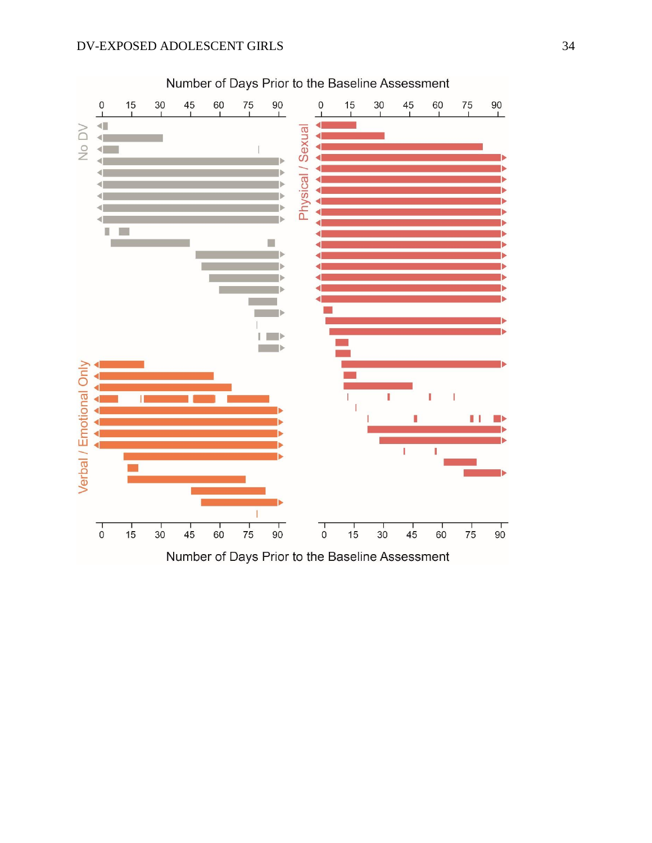

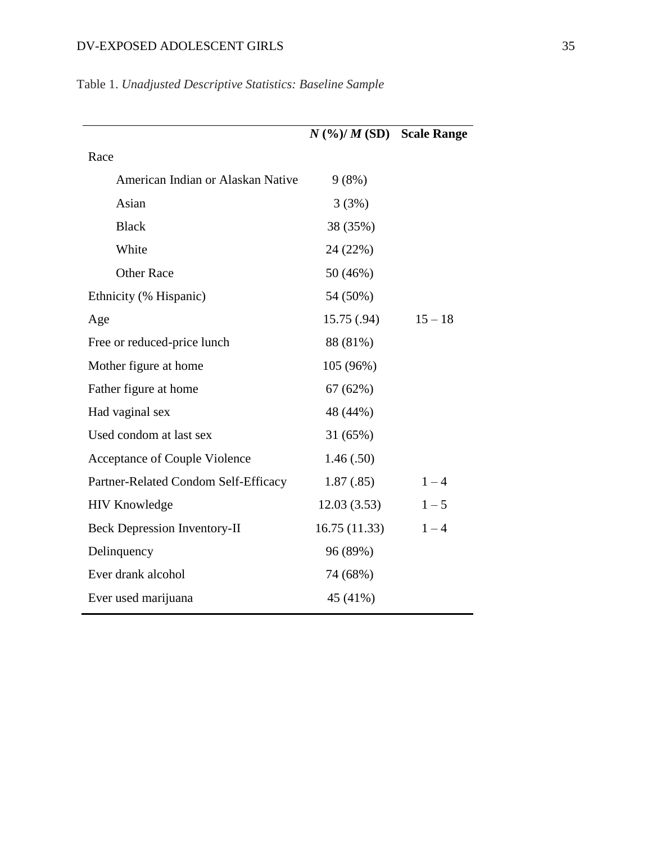|                                      | $N$ (%)/ $M$ (SD) Scale Range |           |
|--------------------------------------|-------------------------------|-----------|
| Race                                 |                               |           |
| American Indian or Alaskan Native    | 9(8%)                         |           |
| Asian                                | 3(3%)                         |           |
| <b>Black</b>                         | 38 (35%)                      |           |
| White                                | 24 (22%)                      |           |
| <b>Other Race</b>                    | 50 (46%)                      |           |
| Ethnicity (% Hispanic)               | 54 (50%)                      |           |
| Age                                  | 15.75(.94)                    | $15 - 18$ |
| Free or reduced-price lunch          | 88 (81%)                      |           |
| Mother figure at home                | 105 (96%)                     |           |
| Father figure at home                | 67(62%)                       |           |
| Had vaginal sex                      | 48 (44%)                      |           |
| Used condom at last sex              | 31 (65%)                      |           |
| Acceptance of Couple Violence        | 1.46(.50)                     |           |
| Partner-Related Condom Self-Efficacy | 1.87(.85)                     | $1 - 4$   |
| <b>HIV Knowledge</b>                 | 12.03(3.53)                   | $1 - 5$   |
| <b>Beck Depression Inventory-II</b>  | 16.75(11.33)                  | $1 - 4$   |
| Delinquency                          | 96 (89%)                      |           |
| Ever drank alcohol                   | 74 (68%)                      |           |
| Ever used marijuana                  | 45 (41%)                      |           |

# Table 1. *Unadjusted Descriptive Statistics: Baseline Sample*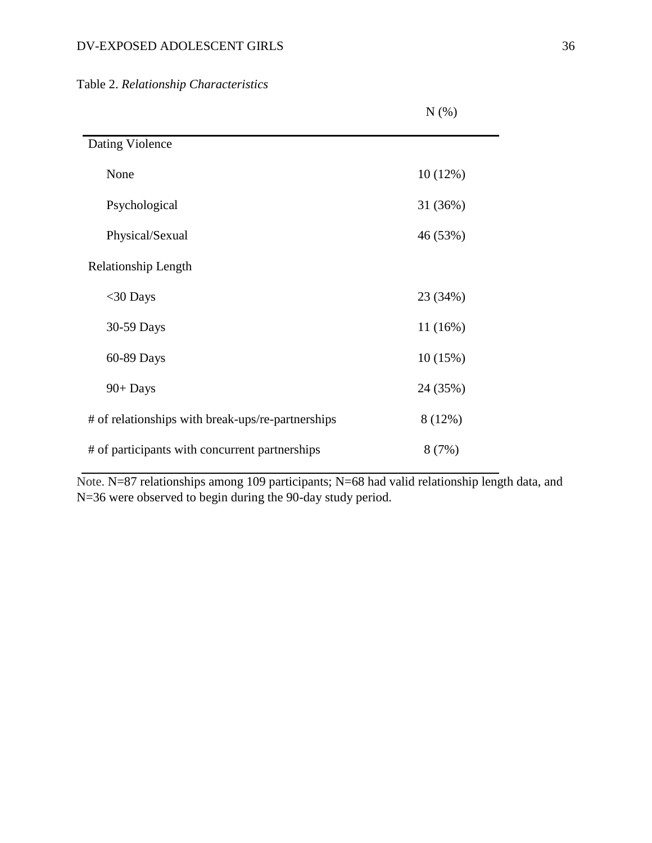Table 2. *Relationship Characteristics*

|                                                   | $N(\%)$  |
|---------------------------------------------------|----------|
| Dating Violence                                   |          |
| None                                              | 10(12%)  |
| Psychological                                     | 31 (36%) |
| Physical/Sexual                                   | 46 (53%) |
| Relationship Length                               |          |
| $<$ 30 Days                                       | 23 (34%) |
| 30-59 Days                                        | 11 (16%) |
| 60-89 Days                                        | 10(15%)  |
| $90+$ Days                                        | 24 (35%) |
| # of relationships with break-ups/re-partnerships | 8 (12%)  |
| # of participants with concurrent partnerships    | 8(7%)    |

Note. N=87 relationships among 109 participants; N=68 had valid relationship length data, and N=36 were observed to begin during the 90-day study period.